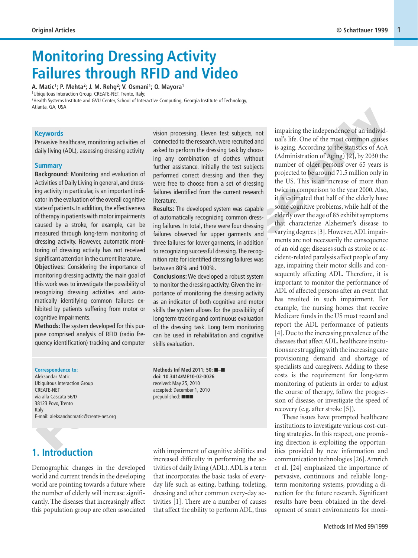# **Monitoring Dressing Activity through RFID and Video MUI<br>ailt**<br>Matic<sup>1</sup> **2211**

, J. M. REIIY , V. USIIIdIII , U. MAYUIA

<sup>1</sup>Ubiquitous Interaction Group, CREATE-NET, Trento, Italy;

<sup>2</sup>Health Systems Institute and GVU Center, School of Interactive Computing, Georgia Institute of Technology, Atlanta, GA, USA **Keywords**

#### **Keywords**

**Reywords**<br>Pervasive healthcare, monitoring activities of daily living (ADL), assessing dressing activity **Background:**

#### **Summary**

Background: Monitoring and evaluation of Activities of Daily Living in general, and dressing activity in particular, is an important indicator in the evaluation of the overall cognitive state of patients. In addition, the effectiveness of therapy in patients with motor impairments caused by a stroke, for example, can be measured through long-term monitoring of dressing activity. However, automatic moni-**Objectives:**toring of dressing activity has not received significant attention in the current literature.

Objectives: Considering the importance of monitoring dressing activity, the main goal of this work was to investigate the possibility of recognizing dressing activities and automatically identifying common failures ex-**Methods:**hibited by patients suffering from motor or cognitive impairments.

Methods: The system developed for this purpose comprised analysis of RFID (radio frequency identification) tracking and computer **Correspondence**

vision processing. Eleven test subjects, not connected to the research, were recruited and asked to perform the dressing task by choosing any combination of clothes without further assistance. Initially the test subjects performed correct dressing and then they were free to choose from a set of dressing failures identified from the current research literature.

Results: The developed system was capable of automatically recognizing common dressing failures. In total, there were four dressing failures observed for upper garments and three failures for lower garments, in addition to recognizing successful dressing. The recognition rate for identified dressing failures was between 80% and 100%.

Conclusions: We developed a robust system to monitor the dressing activity. Given the importance of monitoring the dressing activity as an indicator of both cognitive and motor skills the system allows for the possibility of long term tracking and continuous evaluation of the dressing task. Long term monitoring can be used in rehabilitation and cognitive skills evaluation.

#### **Correspondence to:**

Aleksandar Matic Ubiquitous Interaction Group CREATE-NET via alla Cascata 56/D 38123 Povo, Trento Italy Italy<br>E-mail: aleksandar.matic@create-net.org Italy<br>E-mail: aleksandar.matic@cre<br>**1. Introduction** 

 **Inf Med 2011; 50:** ■**–**■ doi: 10.3414/ME10-02-0026 received: May 25, 2010 accepted: December 1, 2010 prepublished: ■■■

the

Demographic

world and

**changes** in the developed<br>
current trends in the developing **oduction**<br>phic changes in the developed<br>current trends in the developing<br>pointing towards a future where **Introduction**<br>mographic changes in the developed<br>rld and current trends in the developing<br>rld are pointing towards a future where<br>number of elderly will increase signifi-Demographic changes in the developed<br>world and current trends in the developing<br>world are pointing towards a future where<br>the number of elderly will increase signifi-<br>cantly. The diseases that increasingly affect Demographic<br>world and curre world and current trends in the developing<br>world are pointing towards a future where<br>the number of elderly will increase signifi-<br>cantly. The diseases that increasingly affect<br>this population group are often associated

 impairment of cognitive abilities and npairment of cognitive abilities and<br>
ed difficulty in performing the ac-<br>
of daily living (ADL). ADL is a term impairment of cognitive abilities and<br>eased difficulty in performing the ac-<br>ies of daily living (ADL). ADL is a term<br>incorporates the basic tasks of everywith impairment of cognitive abilities and<br>increased difficulty in performing the ac-<br>tivities of daily living (ADL). ADL is a term<br>that incorporates the basic tasks of every-<br>day life such as eating, bathing, toileting. increased difficulty in performing the acpairment of cognitive abilities and<br>d difficulty in performing the ac-<br>f daily living (ADL). ADL is a term<br>prporates the basic tasks of every-<br>such as eating, bathing, toileting,<br>and other common every-dav acincreased difficulty in performing the activities of daily living (ADL). ADL is a term<br>that incorporates the basic tasks of every-<br>day life such as eating, bathing, toileting,<br>dressing and other common every-day ac-<br>tiviti tivities of dail<br>that incorner that incorporates the basic tasks of every-<br>day life such as eating, bathing, toileting,<br>dressing and other common every-day ac-<br>tivities [1]. There are a number of causes<br>that affect the ability to perform ADL, thus

 the independence of an individlifting the independence of an individ-<br>life. One of the most common causes mpairing the independence of an individ-<br>al's life. One of the most common causes<br>aging. According to the statistics of AoA dependence of an individ-<br>the most common causes<br>ng to the statistics of AoA<br>of Aging) [2], by 2030 the impairing the independence of an individual's life. One of the most common causes<br>is aging. According to the statistics of AoA<br>(Administration of Aging) [2], by 2030 the<br>number of older persons over 65 years is impairing the independ<br>ual'alifa One of the m dence of an individ-<br>ost common causes<br>the statistics of AoA<br>ing) [2], by 2030 the<br>ons over 65 years is<br>71.5 million only in ual's lite. One of the most common causes<br>is aging. According to the statistics of AoA<br>(Administration of Aging) [2], by 2030 the<br>number of older persons over 65 years is<br>projected to be around 71.5 million only in<br>the US. ts aging. According to<br>(Administration of t of the state of 11511<br>Aging) [2], by 2030 the<br>stons over 65 years is<br>ad 71.5 million only in<br>ncrease of more than<br>to the vear 2000. Also, (Administration of Aging) [2], by 2030 the<br>number of older persons over 65 years is<br>projected to be around 71.5 million only in<br>the US. This is an increase of more than<br>twice in comparison to the year 2000. Also,<br>it is est projected to be around 71.5 million only in ber of older persons over 65 years is<br>cted to be around 71.5 million only in<br>JS. This is an increase of more than<br>in comparison to the year 2000. Also,<br>stimated that half of the elderly have<br>cognitive problems, while half the US. This is an increase of more than around 71.5 million only in<br>
i an increase of more than<br>
rison to the year 2000. Also,<br>
that half of the elderly have<br>
problems, while half of the<br>
age of 85 exhibit symptoms twice in comparison to the year 2000. Also, US. This is an increase of more than<br>e in comparison to the year 2000. Also,<br>estimated that half of the elderly have<br>e cognitive problems, while half of the<br>rly over the age of 85 exhibit symptoms<br>characterize Alzheimer's twice in comparison to the year 2000. Also,<br>it is estimated that half of the elderly have<br>some cognitive problems, while half of the<br>elderly over the age of 85 exhibit symptoms<br>that characterize Alzheimer's disease to<br>varv nt is estim some cognitive problems, while half of the elderly over the age of 85 exhibit symptoms me cognitive problems, while half of the<br>derly over the age of 85 exhibit symptoms<br>at characterize Alzheimer's disease to<br>rying degrees [3]. However, ADL impair-<br>ents are not necessarily the consequence<br>an old age: disease that characterize Alzheimer's disease to reference affect people and characterize Alzheimer's disease to ting degrees [3]. However, ADL impair-<br>the any degrees [3]. However, ADL impair-<br>not are not necessarily the consequence<br>not all age; diseases such as stroke varying degrees [3]. All ying degrees [9]. However, HD 2 Imput<br>ments are not necessarily the consequence<br>of an old age; diseases such as stroke or ac-<br>cident-related paralysis affect people of any<br>age, impairing their motor skills and con-<br>seq of an old age; diseases such as stroke or acof an old age; diseases such as stroke or ac-<br>cident-related paralysis affect people of any<br>age, impairing their motor skills and con-<br>sequently affecting ADL. Therefore, it is<br>important to monitor the performance of<br>ADL o has results and consequently affecting ADL. Therefore, it is<br>sequently affecting ADL. Therefore, it is<br>important to monitor the performance of<br>ADL of affected persons after an event that<br>has resulted in such impairment. Fo sequently affecting ADL. Therefore, it is important to monitor the performance of fund the US. Therefore, it is that to monitor the performance of affected persons after an event that esulted in such impairment. For the funds in the US must record and the ADL performance of patients ADL of affected persons after an event that has resulted in such impairment. For L of affected persons after an event that<br>resulted in such impairment. For<br>mple, the nursing homes that receive<br>dicare funds in the US must record and<br>ort the ADL performance of patients<br>Due to the increasing prevalence of nas<br>example<br>Medicar that affect and state in the US must receive<br>
that affect ADL performance of patients<br>
to the increasing prevalence of the<br>
that affect ADL, healthcare institu-<br>
estruggling with the increasing care Medicare tunds in the US must record and<br>report the ADL performance of patients<br>[4]. Due to the increasing prevalence of the<br>diseases that affect ADL, healthcare institu-<br>tions are struggling with the increasing care<br>provi Experience the LE performance of purished<br>
[4]. Due to the increasing prevalence of the<br>
diseases that affect ADL, healthcare institu-<br>
tions are struggling with the increasing care<br>
provisioning demand and shortage of<br>
sp [4]. Due to the increasing prevalence of the diseases that affect ADL, healthcare institutions are struggling with the increasing care provisioning demand and shortage of specialists and caregivers. Adding to these tions are struggling with the increasing care t affect ADL, healthcare institu-<br>uggling with the increasing care<br>g demand and shortage of<br>nd caregivers. Adding to these<br>e requirement for long-term<br>of patients in order to adjust thesis are set associated. is are struggling with the increasing care<br>wisioning demand and shortage of<br>cialists and caregivers. Adding to these<br>ts is the requirement for long-term<br>nitoring of patients in order to adjust<br>course of therapy, follow the emand and shortage of<br>caregivers. Adding to these<br>equirement for long-term<br>patients in order to adjust<br>herapy, follow the progres-<br>or investigate the speed of specialists and caregivers. Add<br>costs is the requirement for<br>monitoring of patients in ord<br>the course of therapy, follow<br>sion of disease, or investigate<br>recovery (e.g. after stroke [5]). ts is the requirement for long-term<br>mitoring of patients in order to adjust<br>course of therapy, follow the progres-<br>n of disease, or investigate the speed of<br>overy (e.g. after stroke [5]).<br>These issues have prompted healthc monitoring of patients in order<br>the course of thereny follow the the course of therapy, follow the progression of diseas

the course of therapy, follow the progres-<br>sion of disease, or investigate the speed of<br>recovery (e.g. after stroke [5]).<br>These issues have prompted healthcare<br>institutions to investigate various cost-cut-<br>ting strategies. is exploiting the speed of<br>after stroke [5]).<br>es have prompted healthcare<br>o investigate various cost-cut-<br>s. In this respect, one promis-<br>is exploiting the opportunrecovery (e.g. after stroke [5]).<br>These issues have prompted healthcare<br>institutions to investigate various cost-cut-<br>ting strategies. In this respect, one promis-<br>ing direction is exploiting the opportun-<br>ities provided b institutions to investigate various cost-cutthree modes have prompted neutroned<br>stitutions to investigate various cost-cut-<br>ng strategies. In this respect, one promis-<br>g direction is exploiting the opportun-<br>les provided by new information and<br>nonmunication technolo ting strategies. In this respect, one promising direction is exploiting the opportun-From is exploiting the opportun-<br>ided by new information and<br>cation technologies [26]. Arnrich<br>emphasized the importance of<br>continuous and reliable longing direction is exploiting the opportun-<br>ities provided by new information and<br>communication technologies [26]. Arnrich<br>et al. [24] emphasized the importance of<br>pervasive, continuous and reliable long-<br>term monitoring sys rties provided by new information and<br>communication technologies [26]. Arnrich<br>et al. [24] emphasized the importance of<br>pervasive, continuous and reliable long-<br>term monitoring systems, providing a di-<br>rection for the futu et al. [24] emphasized the importance of term monitoring systems, providing a direction for the future research. Significant pervasive, continuous and reliable longresults have been obtained in the development of smart environments for moni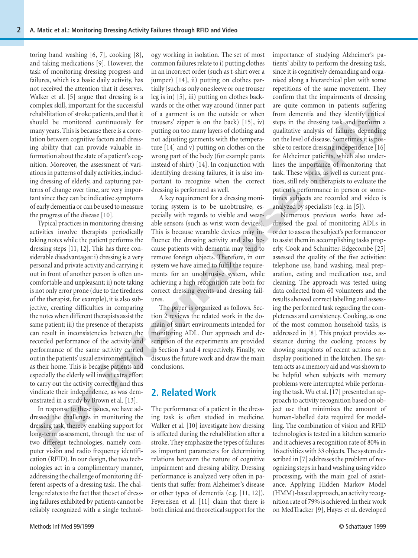jumper) [14],

Matic et al.: Monitoring Dressing Activi<br>ng hand washing [6, 7], cooking [8],<br>taking medications [9]. However, the of monitoring *Dressing Activity*<br>
Ing hand washing [6, 7], cooking [8],<br>
taking medications [9]. However, the<br>
of monitoring dressing progress and<br>
Ires. which is a basic daily activity, has  $\overline{a}$ ing hand washing  $[6, 7]$ , cooking  $[8]$ , taking medications  $[9]$ . However, the comment of monitoring dressing progress and ures, which is a basic daily activity, has received the attention that it deserves. toring hand washing [6, 7], cooking [8],<br>and taking medications [9]. However, the<br>task of monitoring dressing progress and<br>failures, which is a basic daily activity, has<br>not received the attention that it deserves.<br>Walker and taking medications [9].<br>teak of monitoring dressing task of monitoring dressing progress and failures, which is a basic daily activity, has stroke patients, and the stroke patients, and that it deserves.<br>
The stroke patient is a basic daily activity, has eived the attention that it deserves.<br>
The stroke patients, and that it be monitored continuously for not received the attention that it deserves. Walker et al. [5] argue that dressing is a ceived the attention that it deserves.<br>
er et al. [5] argue that dressing is a<br>
lex skill, important for the successful<br>
lilitation of stroke patients, and that it<br>
d be monitored continuously for<br>
vears. This is because t Walker et al. [5] argue that dressing is a<br>complex skill, important for the successful<br>rehabilitation of stroke patients, and that it<br>should be monitored continuously for<br>many years. This is because there is a corre-<br>latio complex sl<br>rebebiliteti All, important for the successful<br>ion of stroke patients, and that it<br>imonitored continuously for<br>i. This is because there is a corre-<br>veen cognitive factors and dress-<br>that can provide valuable inrehabilitation of stroke patients, and that it<br>should be monitored continuously for Fraction of stroke patients, and that it<br>about the state of a pair of the state of a corre-<br>ween cognitive factors and dress-<br>that can provide valuable in-<br>about the state of a patient's cogmany years. This is because there is a corretored continuously for<br>s because there is a corre-<br>gnitive factors and dress-<br>an provide valuable in-<br>he state of a patient's cog-<br>the assessment of varimany years. This is because there is a correlation between cognitive factors and dressing ability that can provide valuable information about the state of a patient's cognition. Moreover, the assessment of variations in pa ing ability that can provide valuable information about the state of a patient's cogde valuable in-<br>f a patient's cog-<br>essment of vari-<br>ctivities, includ-<br>d capturing pat-<br>are very impornition Moreover the assessment of vari-They about the state of a patient's cog-<br>Soreover, the assessment of vari-<br>patterns of daily activities, includ-<br>ng of elderly, and capturing pat-<br>hange over time, are very impor-<br>they can be indicative symptoms ations in patterns of daily activities, includtion. Moreover, the assessment of vari-<br>ions in patterns of daily activities, includ-<br>g dressing of elderly, and capturing pat-<br>rns of change over time, are very impor-<br>nt since they can be indicative symptoms<br>'early demen the progressing of elderly, and capturing pat-<br>terns of change over time, are very impor-<br>tant since they can be indicative symptoms<br>of early dementia or can be used to measure<br>the progress of the disease [10]. terns of change over time, are very importherm there they can be indicative symptoms<br>of early dementia or can be used to measure<br>the progress of the disease [10].<br>Typical practices in monitoring dressing<br>activities involve therapists periodically of early dementia or can be used to measure<br>the progress of the disease [10].

 $\frac{1}{2}$  Typical practices in monitoring dressing ey can be indicative symptoms<br>entia or can be used to measure<br>of the disease [10].<br>ractices in monitoring dressing<br>wolve therapists periodically<br>while the patient performs the ntia or can be used to measure<br>f the disease [10].<br>cctices in monitoring dressing<br>olve therapists periodically<br>thile the patient performs the<br>[11, 12]. This has three conress of the disease [10].<br>al practices in monitoring dressing<br>involve therapists periodically<br>tes while the patient performs the<br>steps [11, 12]. This has three con-<br>disadvantages: i) dressing is a very Typical practices in monitoring dressing<br>activities involve therapists periodically<br>taking notes while the patient performs the<br>dressing steps [11, 12]. This has three con-<br>siderable disadvantages: i) dressing is a very<br>pe activities ii<br>taking notes periodically<br>is while the patient performs the<br>ps [11, 12]. This has three con-<br>advantages: i) dressing is a very<br>d private activity and carrying it<br>of another person is often uncommon common while the patient performs the<br>os [11, 12]. This has three con-<br>advantages: i) dressing is a very<br>private activity and carrying it<br>of another person is often un-<br>and unpleasant; ii) note taking dressing steps [11, 12]. This has three con-<br>siderable disadvantages: i) dressing is a very<br>personal and private activity and carrying it<br>out in front of another person is often un-<br>comfortable and unpleasant; ii) note tak siderable disadvantages: 1) dressing is a very<br>personal and private activity and carrying it<br>out in front of another person is often un-<br>comfortable and unpleasant; ii) note taking<br>is not only error prone (due to the tired personal and private activity and carrying it<br>out in front of another person is often un out in front of another person is often un-<br>comfortable and unpleasant; ii) note taking another person is often un-<br>d unpleasant; ii) note taking<br>r prone (due to the tiredness<br>t, for example), it is also sub-<br>g difficulties in comparing<br>different therapists assist the is not only error prone (due to the tiredness ortable and unpleasant; ii) note taking<br>conly error prone (due to the tiredness<br>e therapist, for example), it is also sub-<br>e, creating difficulties in comparing<br>otes when different therapists assist the<br>patient; iii) the p of the therapist, for example), it is also subof only error prone (due to the tiredness<br>he therapist, for example), it is also sub-<br>ive, creating difficulties in comparing<br>notes when different therapists assist the<br>le patient; iii) the presence of therapists<br>result in .<br>iective c perapist, for example), it is also sub-<br>reating difficulties in comparing<br>when different therapists assist the<br>ient; iii) the presence of therapists<br>lt in inconsistencies between the<br>performance of the activity and the notes when different therapists assist the ing difficulties in comparing<br>on different therapists assist the<br>iii) the presence of therapists<br>inconsistencies between the<br>formance of the activity and<br>of the same activity carried the notes when different therapists assist the<br>same patient; iii) the presence of therapists<br>can result in inconsistencies between the<br>recorded performance of the activity and<br>performance of the same activity carried<br>out i same patient; iii) the presence of therapists<br>can result in inconsistencies between the<br>recorded performance of the activity and<br>performance of the same activity carried<br>out in the patients' usual environment, such<br>as thei can result in inconsistencies between the<br>recorded performance of the activity and<br>performance of the same activity carried<br>out in the patients' usual environment, such<br>as their home. This is because patients and<br>especiall performance of the same activity carried corded performance of the activity and<br>rformance of the same activity carried<br>it in the patients' usual environment, such<br>their home. This is because patients and<br>pecially the elderly will invest extra effort<br>carry out the  $\frac{v}{\alpha}$  out in the pati as their home. This is because patients and<br>especially the elderly will invest extra effort<br>to carry out the activity correctly, and thus ents' usual environment, sue<br>This is because patients and<br>elderly will invest extra effc<br>ne activity correctly, and the<br>r independence, as was der<br>study by Brown et al. [13]. **Exercise the Hotel**<br> **Exercise the CONTEX ONL** response to the security puriods find<br>tially the elderly will invest extra effort<br>rry out the activity correctly, and thus<br>cate their independence, as was dem-<br>ated in a study by Brown et al. [13].<br>response to these issues to carry out the activity correctly, and thus<br>vindicate their independence, as was dem-<br>onstrated in a study by Brown et al. [13].<br>In response to these issues, we have ad-<br>dressed the challenges in monitoring the<br>dressing vindicate their indeper onstrated in a study by Brown et al. [13].

dence, as was dem-<br>Brown et al. [13].<br>Pissues, we have ad-<br>in monitoring the<br>mabling support for<br>through the use of r et al. [13].<br>es, we have ad-<br>monitoring the<br>ing support for<br>ugh the use of<br>namely com-In response to these issues, we have ad-<br>dressed the challenges in monitoring the<br>dressing task, thereby enabling support for<br>long-term assessment, through the use of<br>two different technologies, namely com-<br>puter vision an dressing task, thereby enabling support for d the challenges in monitoring the<br>ig task, thereby enabling support for<br>erm assessment, through the use of<br>ifferent technologies, namely com-<br>vision and radio frequency identifi-<br>(RFID). In our design, the two techlong-term assessment, through the use of task, thereby enabling support for<br>m assessment, through the use of<br>erent technologies, namely com-<br>ion and radio frequency identifi-<br>RFID). In our design, the two tech-<br>act in a complimentary manner. two different assessment, through the use of<br>ent technologies, namely com-<br>n and radio frequency identifi-<br>ID). In our design, the two tech-<br>t in a complimentary manner,<br>the challenge of monitoring diftechnologies, namely com-<br>and radio frequency identifi-<br>. In our design, the two tech-<br>n a complimentary manner,<br>e challenge of monitoring dif-<br>of a dressing task. The chalres visited and red<br>cation (RFID). In our vision and radio frequency identifi-<br>n (RFID). In our design, the two tech-<br>gies act in a complimentary manner,<br>ssing the challenge of monitoring dif-<br>t aspects of a dressing task. The chal-<br>relates to the fact that the se r design, the two tech-<br>nplimentary manner,<br>nge of monitoring dif-<br>essing task. The chal-<br>t that the set of dress-<br>by patients cannot be nologies act in a complimentary manner,<br>addressing the challenge of monitoring difentary manner,<br>monitoring dif-<br>the set of dress-<br>tients cannot be<br>single technol-

**in isolation.** The set of most in isolation. The set of most **ilures through RFID and Video**<br>
sy working in isolation. The set of most<br>
mmon failures relate to i) putting clothes<br>
an incorrect order (such as t-shirt over a in isolation. The set of most<br>res relate to i) putting clothes<br>t order (such as t-shirt over a<br>ii) putting on clothes parogy working in isolation. The set of most<br>common failures relate to i) putting clothes<br>in an incorrect order (such as t-shirt over a<br>jumper) [14], ii) putting on clothes par-<br>tially (such as only one sleeve or one trouser ogy worl Example in Isolation. The set of most<br>failures relate to i) putting clothes<br>orrect order (such as t-shirt over a<br>[14], ii) putting on clothes par-<br>th as only one sleeve or one trouser<br>[5], iii) putting on clothes backcommon failures relate to 1) putting clothes<br>in an incorrect order (such as t-shirt over a<br>jumper) [14], ii) putting on clothes par-<br>tially (such as only one sleeve or one trouser<br>leg is in) [5], iii) putting on clothes ba jumper) [14], ii) putting on clothes paran incorrect order (such as t-shirt over a<br>mper) [14], ii) putting on clothes par-<br>ully (such as only one sleeve or one trouser<br>g is in) [5], iii) putting on clothes back-<br>ards or the other way around (inner part<br>a garment pumper) [14], 11) putting on clothes partially (such as only one sleeve or one trouser<br>leg is in) [5], iii) putting on clothes back-<br>wards or the other way around (inner part<br>of a garment is on the outside or when<br>trousers mly one sleeve or one trouser<br>ii) putting on clothes back-<br>ther way around (inner part<br>is on the outside or when<br>pr is on the back) [15], iv)<br>many lavers of clothing and leg is in) [5], iii) putting on clothes back-<br>wards or the other way around (inner part a and the other way around (inner part<br>ds or the other way around (inner part<br>a garment is on the outside or when<br>users' zipper is on the back) [15], iv)<br>ting on too many layers of clothing and<br>adjusting garments with the of a garment is on the outside or when (114) and variant is on the outside or when<br>
14) and view the back of the sers' zipper is on the back [15], iv<br>
14) ing on too many layers of clothing and<br>
14) and v putting on clothes on the of a garment is<br>troughed ginner i on the outside or when<br>s on the back) [15], iv)<br>iny layers of clothing and<br>ments with the tempera-<br>butting on clothes on the<br>body (for example pants trousers' zipper<br>nutting on too n (15), iv.<br>
14) hany layers of clothing and<br>
14) rments with the tempera-<br>
14) putting on clothes on the<br>
14). In conjunction with putting on too many layers of clothing and<br>not adjusting garments with the tempera-<br>ture [14] and v) putting on clothes on the<br>wrong part of the body (for example pants<br>instead of shirt) [14]. In conjunction with<br>identifyi not adjusting garments with the tempera-<br>ture [14] and v) putting on clothes on the<br>wrong part of the body (for example pants<br>instead of shirt) [14]. In conjunction with<br>identifying dressing failures, it is also im-<br>portan wrong part of the body (for example pants) and v) putting on c<br>art of the body (for ex<br>of shirt) [14]. In conj<br>ng dressing failures,<br>to recognize when<br>is performed as well. instead of shirt) [14]. In conjunction with art of the body (for example pants<br>of shirt) [14]. In conjunction with<br>ng dressing failures, it is also im-<br>to recognize when the correct<br>is performed as well.<br>requirement for a dressing moniidentifying dressing failures, it is also im-1 of shirt) [14]. In conjunction with<br>fying dressing failures, it is also im-<br>to recognize when the correct<br>ig is performed as well.<br>ey requirement for a dressing moni-<br>system is to be unobtrusive, esdressing is performed as well.

ndentifying dressing failures, it is also im-<br>portant to recognize when the correct<br>dressing is performed as well.<br>A key requirement for a dressing moni-<br>toring system is to be unobtrusive, es-<br>pecially with regards to vis ant to recognize when the correct<br>sing is performed as well.<br>Ley requirement for a dressing moni-<br>ag system is to be unobtrusive, es-<br>ally with regards to visible and wear-<br>sensors (such as wrist worn devices). dressing is performed as well.<br>A key requirement for a dressing moni-<br>toring system is to be unobtrusive, es-<br>pecially with regards to visible and wear-<br>able sensors (such as wrist worn devices).<br>This is because wearable d A key requirement tor a dressing moni-<br>toring system is to be unobtrusive, es-<br>pecially with regards to visible and wear-<br>able sensors (such as wrist worn devices).<br>This is because wearable devices may in-<br>fluence the dres toring system is to be unobtrus pecially with regards to visible and wearable sensors (such as wrist worn devices). with regards to visible and wear-<br>nsors (such as wrist worn devices).<br>because wearable devices may in-<br>the dressing activity and also be-<br>atients with dementia may tend to<br>foreign objects. Therefore, in our This is because wearable devices may innsors (such as wrist worn devices),<br>because wearable devices may in-<br>the dressing activity and also be-<br>patients with dementia may tend to<br>e foreign objects. Therefore, in our<br>we have aimed to fulfil the requirefluence the dressing activity and also because wearable devices may in-<br>e dressing activity and also be-<br>ents with dementia may tend to<br>reign objects. Therefore, in our<br>have aimed to fulfil the require-<br>an unobtrusive system, while rachee the thesing teams<br>cause patients with dementi ie dressing activity and also be-<br>ients with dementia may tend to<br>preign objects. Therefore, in our<br>have aimed to fulfil the require-<br>r an unobtrusive system, while<br>a high recognition rate both for a may exist to<br>refore, in our<br>fil the require-<br>system, while<br>a rate both for<br>dressing failsystem we have is a med to fulfil the require-<br>in unobtrusive system, while<br>igh recognition rate both for<br>ing events and dressing fail-<br>is organized as follows. Secments for an unobtrusive system, while<br>achieving a high recognition rate both for ts for an unobtrusive system, while<br>eving a high recognition rate both for<br>ect dressing events and dressing fail-<br>.<br>he paper is organized as follows. Sec-<br>2 reviews the related work in the doachieving a high recognition rate both for<br>correct dressing events and dressing fail-<br>ures.<br>The paper is organized as follows. Sec-<br>tion 2 reviews the related work in the do-<br>main of smart environments intended for **usiliar**<br>uroc

er is organized as follows. Sec-<br>ws the related work in the do-<br>art environments intended for<br>ADL. Our approach and deures.<br>The paper is organized as follows. Sec-<br>tion 2 reviews the related work in the do-<br>main of smart environments intended for<br>monitoring ADL. Our approach and de-<br>scription of the experiments are provided tion 2 reviews the related work in the do-The paper is organized as follows. Section 2 reviews the related work in the do-<br>ain of smart environments intended for<br>onitoring ADL. Our approach and de-<br>ription of the experiments are provided<br>Section 3 and 4 respective  $\frac{1}{\text{min}}$ the future work and the main of smart environments intended for<br>monitoring ADL. Our approach and de-<br>scription of the experiments are provided<br>in Section 3 and 4 respectively. Finally, we<br>discuss the future work and draw t monitoring ADL. Our approach and dein Section 3 and 4 respe<br>discuss the future work a<br>conclusions.<br>**2. Related Work**  $\frac{1}{\sqrt{2}}$ 

### is

conclusions.<br>**2. Related Work**<br>The performance of a patient in the dress-**Exercise Solution**<br>Frormance of a patient in the dress-<br>sk is often studied in medicine.<br>et al. [10] investigate how dressing **Related Work**<br>he performance of a patient in the dress-<br>g task is often studied in medicine.<br>*Talker* et al. [10] investigate how dressing<br>affected during the rehabilitation after a between the dress-<br>died in medicine.<br>tigate how dressing<br>ehabilitation after a<br>the types of failures ing task is often important parameters of a patient in the dress-<br>g task is often studied in medicine.<br>Salker et al. [10] investigate how dressing<br>affected during the rehabilitation after a<br>roke. They emphasize the types of failures<br>importa I studied in medicine.<br>
investigate how dressing<br>
the rehabilitation after a<br>
asize the types of failures<br>
imeters for determining<br>
the nature of cognitive Walker et al. [10] investigate how dressing g the rehabilitation after a<br>thasize the types of failures<br>rameters for determining<br>in the nature of cognitive<br>dressing ability. Dressing<br>nalvzed very often in pais affected during the ref<br>stroke They emphasized stroke. They emphasize the types of failures<br>as important parameters for determining<br>relations between the nature of cognitive<br>impairment and dressing ability. Dressing<br>performance is analyzed very often in pa-<br>tients that as important parameters tor determining<br>relations between the nature of cognitive<br>impairment and dressing ability. Dressing<br>performance is analyzed very often in pa-<br>tients that suffer from Alzheimer's disease<br>or other typ relations betwee:<br>impairmant and impairment and dressing ability. Dressing<br>performance is analyzed very often in pa-<br>tients that suffer from Alzheimer's disease<br>or other types of dementia (e.g. [11, 12]). performance is analyzed very often in pa-Feyereisen et al. [11] claim that there is<br>both clinical and theoretical support for the

 of studying Alzheimer's paof studying Alzheimer's pa-<br>to perform the dressing task. Itance of studying Alzheimer's pa-<br>Italiity to perform the dressing task,<br>it is cognitively demanding and orgaof studying Alzheimer's pa-<br>y to perform the dressing task,<br>gnitively demanding and orga-<br>a hierarchical plan with some importance of st udying Alzheimer's pa-<br>erform the dressing task,<br>ely demanding and orga-<br>archical plan with some<br>same movement. They importance of s<br>tionta<sup>2</sup> ability to t imprendict of etally ingertained by particular of particular that is cognitively demanding and organised along a hierarchical plan with some repetitions of the same movement. They confirm that the impairments of dressing since it is cognitively demanding and organised along a hierarchical plan with some It is cognitively demanding and orgalized along a hierarchical plan with some<br>itions of the same movement. They<br>rm that the impairments of dressing<br>quite common in patients suffering<br>dementia and they identify critical repetitions of the same movement. They a hierarchical plan with some<br>of the same movement. They<br>t the impairments of dressing<br>pmmon in patients suffering<br>tii and they identify critical<br>dressing task and perform a confirm that the impairments of dressing For the unpairments of dressing<br>common in patients suffering<br>entia and they identify critical<br>ne dressing task and perform a<br>analysis of failures depending oninin that the in-partners of dressing<br>are quite common in patients suffering the level of dressing<br>the level of disease.<br>The disease is uffering<br>the dementia and they identify critical<br>ps in the dressing task and perform a<br>alitative analysis of failures depending<br>the level of disease. Sometimes it sible to restore dressing independence [16] from dementia and th<br>stans in the dressing to ey identify critical<br>ask and perform a<br>failures depending<br>iometimes it is pos-<br>independence [16]<br>which also understeps in the dressing task and perform a<br>qualitative analysis of failures depending<br>on the level of disease. Sometimes it is pos-<br>sible to restore dressing independence [16]<br>for Alzheimer patients, which also under-<br>lines qualitative analysis of failures depending<br>on the level of disease. Sometimes it is pos-<br>sible to restore dressing independence [16]<br>for Alzheimer patients, which also under-<br>lines the importance of monitoring that<br>task. T e level of disease. Sometimes it is pos-<br>to restore dressing independence [16]<br>lzheimer patients, which also under-<br>the importance of monitoring that<br>These works, as well as current prac-<br>still rely on therapists to evalua patient to 1 estore dressing independence [16]<br>eimer patients, which also under-<br>eimportance of monitoring that<br>see works, as well as current prac-<br>I rely on therapists to evaluate the<br>performance in person or somelines the importance of monitoring that Izheimer patients, which also under-<br>the importance of monitoring that<br>These works, as well as current prac-<br>still rely on therapists to evaluate the<br>nt's performance in person or some-<br>subiects are recorded and video is task. These works, as well as current pracmportance of monitori<br>se works, as well as currei<br>rely on therapists to evalu<br>performance in person of<br>biects are recorded and v<br>by specialists (e.g. in [5]). tices, still rely press, as well as current prac-<br>on therapists to evaluate the<br>prmance in person or some-<br>s are recorded and video is<br>pecialists (e.g. in [5]).<br>previous works have adgoal of monitoring to community<br>reformance in person or some-<br>cts are recorded and video is<br>specialists (e.g. in [5]).<br>us previous works have ad-<br>goal of monitoring ADLs in analyzed by sp

nised along

patient's performance in person or some-<br>times subjects are recorded and video is<br>analyzed by specialists (e.g. in [5]).<br>Numerous previous works have ad-<br>dressed the goal of monitoring ADLs in<br>order to assess the subject's nes subjects are recorded and video is<br>alyzed by specialists (e.g. in [5]).<br>Numerous previous works have ad-<br>essed the goal of monitoring ADLs in<br>der to assess the subject's performance or<br>assist them in accomplishing task previous works have ad-<br>previous works have ad-<br>aal of monitoring ADLs in<br>the subject's performance or<br>n accomplishing tasks prop-<br>Schmitter-Edgecombe [25] Numerous previous works have addressed the goal of monitoring ADLs in dressed the goal of monitoring ADLs in<br>order to assess the subject's performance or<br>to assist them in accomplishing tasks prop-<br>erly. Cook and Schmitter-Edgecombe [25]<br>assessed the quality of the five activities:<br>telephone medication performance of<br>medication use, and prep-<br>of the five activities:<br>divashing, meal prep-<br>medication use, and to assist them in accomplishing tasks properly. Cook and Schmitter-Edgecombe [25] and exemplesting usine prop-<br>al Schmitter-Edgecombe [25]<br>quality of the five activities:<br>, hand washing, meal prep-<br>g and medication use, and<br>approach was tested using assessed the quality of the five activities: from 60 volunteers and the five activities:<br>g , hand washing, meal prep-<br>g and medication use, and<br>approach was tested using<br>from 60 volunteers and the assessed the quality of the five activities:<br>telephone use, hand washing, meal prep-<br>aration, eating and medication use, and<br>cleaning. The approach was tested using<br>data collected from 60 volunteers and the<br>results showed telepho<br>aration aration, eating and medication use, and cleaning. The approach was tested using eating and medication use, and<br>The approach was tested using<br>ected from 60 volunteers and the<br>owed correct labelling and assess-<br>erformed task regarding the com-<br>and consistency. Cooking, as one data collected from 60 volunteers and the eaning. The approach was tested using<br>ta collected from 60 volunteers and the<br>sults showed correct labelling and assess-<br>g the performed task regarding the com-<br>eteness and consistency. Cooking, as one<br>internet common hous results showed correct labelling and assessom 60 volunteers and the<br>prrect labelling and assess-<br>d task regarding the com-<br>sistency. Cooking, as one<br>nmon household tasks, is<br>This project provides asresults showed corre<br>ing the performed to beind task regarding the com-<br>erformed task regarding the com-<br>s and consistency. Cooking, as one<br>nost common household tasks, is<br>d in [8]. This project provides as-<br>during the cooking process by<br>snapshots of recent action pleteness and consistency. Cooking, as one pleteness and consistency. Cooking, as one<br>of the most common household tasks, is<br>addressed in [8]. This project provides as-<br>sistance during the cooking process by<br>showing snapshots of recent actions on a<br>display position of the most common household tasks, is<br>addressed in [8]. This project provides as-<br>sistance during the cooking process by<br>showing snapshots of recent actions on a<br>display positioned in the kitchen. The sys-<br>tem acts as a m addressed in [8]. This project provides assistance during the cooking process by<br>showing snapshots of recent actions on a<br>display positioned in the kitchen. The sys-<br>tem acts as a memory aid and was shown to<br>be helpful whe showing snapshots of recent actions on a during the cooking process by<br>snapshots of recent actions on a<br>ositioned in the kitchen. The sys-<br>s a memory aid and was shown to<br>il when subjects with memory<br>were interrupted while performdisplay positioned in the kitchen. The syspositioned in the kitchen. The sys-<br>ts as a memory aid and was shown to<br>pful when subjects with memory<br>ms were interrupted while perform-<br>task. Wu et al. [17] presented an ap-<br>to activity recognition based on obtem acts as a memory aid and was shown to tem acts as a memory aid and was shown to<br>be helpful when subjects with memory<br>problems were interrupted while perform-<br>ing the task. Wu et al. [17] presented an ap-<br>proach to activity recognition based on ob-<br>iect use tha be helpful when su bjects with memory<br>upted while perform-<br>[17] presented an ap-<br>ognition based on ob-<br>iizes the amount of<br>required for modelproblems were interrupted while performs were interrupted while perform-<br>sk. Wu et al. [17] presented an ap-<br>activity recognition based on ob-<br>that minimizes the amount of<br>abelled data required for model-<br>combination of vision and RFID ing the task. Wu et al. [17] presented an approach to activity recognition based on object use that minimizes the amount of human-labelled data required for modelling. The combination of vision and RFID technologies is tes ject use that minimizes the amount of ach to activity recognition based on ob-<br>use that minimizes the amount of<br>nan-labelled data required for model-<br>The combination of vision and RFID<br>inologies is tested in a kitchen scenario<br>it achieves a recognition rate of human-labelled data required for modelt use that minimizes the amount of<br>man-labelled data required for model-<br>g. The combination of vision and RFID<br>thnologies is tested in a kitchen scenario<br>d it achieves a recognition rate of 80% in<br>activities with 33 object ling. The combin<br>technologies is to -labelled data required for model-<br>he combination of vision and RFID<br>ogies is tested in a kitchen scenario<br>chieves a recognition rate of 80% in<br>ities with 33 objects. The system de-<br>in [7] addresses the problem of rechation of vision and RFID<br>sted in a kitchen scenario<br>recognition rate of 80% in<br>33 objects. The system de-<br>dresses the problem of rec-<br>hand washing using video technologies is tested<br>and it achieves a rece main succession<br>gnition rate of 80% in<br>bjects. The system de-<br>es the problem of rec-<br>d washing using video<br>main goal of assistance are activities with 33 objects. The system described in [7] addresses the problem of recognizing steps in hand washing using video processing, with the main goal of assistance. Applying Hidden Markov Model scribed in [7] addresses the problem of rec-<br>ognizing steps in hand washing using video ance. Applying Hidden Markov Model (HMM)-based approach, an activity recogprocessing, with the main goal of assistnition rate of 79% is achieved. In their work<br>on MedTracker [9], Hayes et al. developed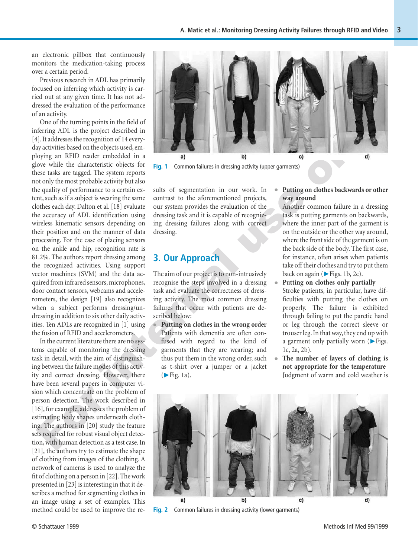electronic pillbox that continuously electronic pillbox that continuously<br>
itors the medication-taking process<br>
a certain period. ic pillbox that continuously<br>the medication-taking process<br>in period.<br>research in ADL has primarily en electronic pillbe which action taking process<br>
...<br>
in ADL has primarily<br>
which activity is carmonitors the medication-taking process monitors t

electronic pillbox that continuously<br>intors the medication-taking process<br>a certain period.<br>revious research in ADL has primarily<br>sed on inferring which activity is car-<br>out at any given time. It has not adin period.<br>
in period.<br>
is research in ADL has primarily<br>
inferring which activity is car-<br>
any given time. It has not ad-<br>
evaluation of the performance Previous recursion<br>cused on in<br>ed out at an<br>essed the evan Previous research in ADL has primarily<br>used on inferring which activity is car-<br>d out at any given time. It has not ad-<br>ssed the evaluation of the performance<br>an activity.<br>One of the turning points in the field of ried out at any given time. It has not adon inferring which activity is car-<br>at any given time. It has not ad-<br>he evaluation of the performance<br>wity.<br>f the turning points in the field of<br>ADL is the project described in dressed the evaluation of the performance of an activity.

but at any given time. It has not ad-<br>ed the evaluation of the performance<br>activity.<br>he of the turning points in the field of<br>ing ADL is the project described in<br>addresses the recognition of 14 everyvaluation of the performance<br>
in the field of<br>
puring points in the field of<br>
puring project described in<br>
ses the recognition of 14 every-<br>
based on the objects used, em- $\frac{m}{2}$ and the turning points in the field of g ADL is the project described in ddresses the recognition of 14 every-<br>vities based on the objects used, emain RFID reader embedded in a hile the characteristic objects for One of the tu<br>information  $\Lambda$ Inferring ADL is the project described in [4]. It addresses the recognition of 14 every-<br>day activities based on the objects used, em-<br>ploying an RFID reader embedded in a<br>glove while the characteristic objects for<br>these t [4]. It addresses the recognition of 14 every-<br>day activities based on the objects used, em-<br>ploying an RFID reader embedded in a<br>glove while the characteristic objects for<br>these tasks are tagged. The system reports<br>not on ploving an RFID reader embedded in a es based on the objects used, em-<br>
i RFID reader embedded in a<br>
e the characteristic objects for<br>
are tagged. The system reports<br>
e most probable activity but also<br>
of performance to a certain exploying an RFID reader embedded in a<br>glove while the characteristic objects for<br>these tasks are tagged. The system reports<br>not only the most probable activity but also<br>the quality of performance to a certain ex-<br>tent, such these tasks are tagged while the characteristic objects for<br>asks are tagged. The system reports<br>y the most probable activity but also<br>lity of performance to a certain ex-<br>ch as if a subject is wearing the same<br>each day. Dalton et al. [18] evalua The system reports<br>vable activity but also<br>nance to a certain ex-<br>t is wearing the same<br>on et al. [18] evaluate<br>identification using not only the most probable activity but also<br>the quality of performance to a certain exity of performance to a certain ex-<br>th as if a subject is wearing the same<br>each day. Dalton et al. [18] evaluate<br>uracy of ADL identification using<br>kinematic sensors depending on the quality of performance to a certain ex-<br>tent, such as if a subject is wearing the same<br>clothes each day. Dalton et al. [18] evaluate<br>the accuracy of ADL identification using<br>wireless kinematic sensors depending on<br>thei tent, such as it a subject is wearing the same<br>clothes each day. Dalton et al. [18] evaluate<br>the accuracy of ADL identification using<br>wireless kinematic sensors depending on<br>their position and on the manner of data<br>process clothes each day. Dalton et al. [18] evaluate<br>the accuracy of ADL identification using<br>wireless kinematic sensors depending on<br>their position and on the manner of data<br>processing. For the case of placing sensors<br>on the ank the accuracy of ADL identification using<br>wireless kinematic sensors depending on<br>their position and on the manner of data<br>processing. For the case of placing sensors<br>on the ankle and hip, recognition rate is<br>81.2%. The aut their position and on the manner of data supposition and on the manner of data<br>
sing. For the case of placing sensors<br>
e ankle and hip, recognition rate is<br>
The authors report dressing among<br>
recognized activities. Using support<br>
machines (SVM) and the data acprocessing. For the case of placing sensors on the ankle and hip, recognition rate is sing. For the case of placing sensors<br>
the and hip, recognition rate is<br>
The authors report dressing among<br>
cognized activities. Using support<br>
machines (SVM) and the data ac-<br>
from infrared sensors, microphones, on the ankle and hip, recognition rate is<br>81.2%. The authors report dressing among<br>the recognized activities. Using support<br>vector machines (SVM) and the data ac-<br>quired from infrared sensors, microphones,<br>door contact sen 81.2%. The authors report dressing among<br>the recognized activities. Using support<br>vector machines (SVM) and the data ac-<br>quired from infrared sensors, microphones,<br>door contact sensors, webcams and accele-<br>rometers, the de the recognized activities. Using support<br>vector machines (SVM) and the data ac-<br>quired from infrared sensors, microphones,<br>door contact sensors, webcams and accele-<br>rometers, the design [19] also recognizes<br>when a subject vector machines (SVM) and the data ac-<br>quired from infrared sensors, microphones,<br>door contact sensors, webcams and accele-<br>rometers, the design [19] also recognizes<br>when a subject performs dressing/un-<br>dressing in additio quired from infrared sensors, microphones,<br>door contact sensors, webcams and accele-<br>rometers, the design [19] also recognizes<br>when a subject performs dressing/un-<br>dressing in addition to six other daily activ-<br>ities. Ten rometers, the design [19] also recognizes ters, the design [19] also recognizes<br>
a subject performs dressing/un-<br>
ing in addition to six other daily activ-<br>
Ten ADLs are recognized in [1] using<br>
usion of RFID and accelerometers.<br>
the current literature there are n when a subject performs dressing/undressing in addition to six other daily activ-For a strong and the dream of monitoring the dream and activative Ten ADLs are recognized in [1] using usion of RFID and accelerometers.<br>The current literature there are no syscapable of monitoring the dressing ities. Ten AL<br>the fusion of the fusi<br>In th

dressing in addition to six other daily activ-<br>ities. Ten ADLs are recognized in [1] using<br>the fusion of RFID and accelerometers.<br>In the current literature there are no sys-<br>tems capable of monitoring the dressing<br>task in The failure model in [1] using<br>f RFID and accelerometers.<br>rent literature there are no sys-<br>e of monitoring the dressing<br>il, with the aim of distinguish-<br>the failure modes of this activon of KFID and accelerometers.<br>
e current literature there are no sys-<br>
pable of monitoring the dressing<br>
detail, with the aim of distinguish-<br>
veen the failure modes of this activ-<br>
correct dressing. However, there tems capable of monitoring the dressing Figure 11 Iterature there are no sys-<br>
capable of monitoring the dressing<br>
in detail, with the aim of distinguish-<br>
between the failure modes of this activ-<br>
and correct dressing. However, there<br>
been several papers in com task in detail, with the s capable of monitoring the dressing<br>in detail, with the aim of distinguish-<br>between the failure modes of this activ-<br>and correct dressing. However, there<br>the problem of the problem of<br>which concentrate on the problem of etween the failure modes of this activ-<br>etween the failure modes of this activ-<br>nd correct dressing. However, there<br>been several papers in computer vi-<br>which concentrate on the problem of<br>on detection. The work described i  $\frac{1}{100}$ have been several papers in computer viportect dressing. However, there<br>several papers in computer vi-<br>concentrate on the problem of<br>tection. The work described in<br>ample, addresses the problem of<br>body shapes underneath clothhave been several papers in computer vi-<br>sion which concentrate on the problem of<br>person detection. The work described in<br>[16], for example, addresses the problem of<br>estimating body shapes underneath cloth-<br>ing. The author sion which concentrate on the problem of<br>person detection. The work described in<br>[16], for example, addresses the problem of<br>estimating body shapes underneath cloth-<br>ing. The authors in [20] study the feature<br>sets required  $[16]$ , for example, addresses the problem of The work described in<br>addresses the problem of<br>shapes underneath cloth-<br>in [20] study the feature<br>obust visual object detec-<br>detection as a test case. In estimating body shapes underneath clothfor example, addresses the problem of<br>aating body shapes underneath cloth-<br>The authors in [20] study the feature<br>equired for robust visual object detec-<br>with human detection as a test case. In<br>the authors try to estimate t of the authors in<br>the authors in timating body shapes underneath cloth-<br>g. The authors in [20] study the feature<br>ts required for robust visual object detec-<br>on, with human detection as a test case. In<br>1], the authors try to estimate the shape<br>clothing fro [20] study the feature<br>ust visual object detec-<br>tection as a test case. In<br>to estimate the shape<br>ages of the clothing. A<br>is used to analyze the sets required for robust visual object detection, with human detection as a test case. In ts required for robust visual object detec-<br>on, with human detection as a test case. In<br>1], the authors try to estimate the shape<br>clothing from images of the clothing. A<br>twork of cameras is used to analyze the<br>of clothing tion, with human detection as a test case. In<br>[21], the authors try to estimate the shape<br>of clothing from images of the clothing. A<br>network of cameras is used to analyze the<br>fit of clothing on a person in [22]. The work<br>p [21], the authors try to estimate the shape<br>of clothing from images of the clothing. A<br>network of cameras is used to analyze the<br>fit of clothing on a person in [22]. The work<br>presented in [23] is interesting in that it denetwork of cameras is used to analyze the presented in [23] is interesting in that it describes a method for segmenting clothes in fit of clothing on a person in [22]. The work an image using a set of examples. This<br>method could be used to improve the re-



**Common failures in dressing activity (upper garments)** 

Fig. 1 Common failures in dressing activity (upper garments)<br>sults of segmentation in our work. In **Putting**<br>contrast to the aforementioned projects, way are the evaluation of the evaluation of the<br>the evaluation of the<br>the evaluation of the segmentation in our work. In<br>to the aforementioned projects,<br>em provides the evaluation of the<br>task and it is capable of recognizsults of segmentation in our work. In our work. In<br>boned projects,<br>luation of the<br>le of recogniz-<br>with correct dante di<br>controot dressing. dressing task and it is capable of recogniz-<br>ing dressing failures along with correct dressing task and it is cap<br>ing dressing failures ald<br>dressing.<br>**3. Our Approach** 

of our project is to non-intrusively<br>of our project is to non-intrusively **Approach**<br>of our project is to non-intrusively<br>the steps involved in a dressing **Our Approach**<br>aim of our project is to non-intrusively<br>gnise the steps involved in a dressing<br>and evaluate the correctness of dress**pproach**<br>
wur project is to non-intrusively<br>
e steps involved in a dressing<br>
uluate the correctness of dress-<br>
The most common dressing The aim of our project is to non-intrusively<br>recognise the steps involved in a dressing<br>task and evaluate the correctness of dress-<br>ing activity. The most common dressing<br>failures that occur with patients are derne ann or oan<br>recognise the<br>task and evalu<br>ing activity. T<br>failures that c<br>scribed below: **isomether we concerned as a constraint of the most common dressing failures that occur with patients are described below:<br><b>Putting on clothes in the wrong order** task and evaluate the correctness of dress-<br>ing activity. The most common dressing valuate the correctness of dress-<br>7. The most common dressing<br>at occur with patients are de-<br>ow:<br>**on clothes in the wrong order**<br>with dementia are often conactivity. The most<br>ures that occur with scribed below:

that the common areasing<br>
occur with patients are de-<br>
w:<br>
m clothes in the wrong order<br>
with dementia are often con-<br>
the regard to the kind of<br>
that they are wearing; and The below:<br> **Putting on clothes in the wrong order**<br>
Patients with dementia are often con-<br>
fused with regard to the kind of<br>
garments that they are wearing; and<br>
thus put them in the wrong order, such Patients with dementia are often conitting on clothes in the wrong order<br>tients with dementia are often con-<br>sed with regard to the kind of<br>rments that they are wearing; and<br>us put them in the wrong order, such<br>t-shirt over a jumper or a jacket fused with regard to the kind of Patients wi<br>used with<br>garments t<br>hus put th<br>s t-shirt o<br>► Fig. 1a).

 **on clothes backwards or other** common failure in <sup>a</sup> dressing way around ing on clothes backwards or other<br>around<br>ther common failure in a dressing<br>is putting garments on backwards.

Putting on clothes backwards or other<br>way around<br>Another common failure in a dressing<br>task is putting garments on backwards,<br>where the inner part of the garment is tting on clothes backwards or other<br>y around<br>other common failure in a dressing<br>k is putting garments on backwards,<br>sere the inner part of the garment is<br>the outside or the other way around. way around<br>Another common failure in a dressing<br>task is putting garments on backwards,<br>where the inner part of the garment is<br>on the outside or the other way around,<br>where the front side of the garment is on Another common failure in a dressing<br>task is putting garments on backwards,<br>where the inner part of the garment is<br>on the outside or the other way around,<br>where the front side of the garment is on<br>the back side of the body task is putting garments on backwards,<br>where the inner part of the garment is<br>on the outside or the other way around,<br>where the front side of the garment is on<br>the back side of the body. The first case,<br>for instance, often where the inner part of the garment is<br>on the outside or the other way around,<br>where the front side of the garment is on<br>the back side of the body. The first case,<br>for instance, often arises when patients<br>take off their cl where the front side of the garment is on or the other wat<br>t side of the garn<br>of the body. The<br>ften arises wher<br>lothes and try to<br>(▶Figs. 1b, 2c). for instant<br>take off<br>back on<br>**Putting ck** side of the body. The first case,<br>
tance, often arises when patients<br> **f** their clothes and try to put them<br>
in again ( $\blacktriangleright$  Figs. 1b, 2c).<br> **g** on clothes only partially<br>
patients, in particular, have difthe back side of the body. The first case,<br>for instance, often arises when patients take off their clo<br>back on again (

- for instance, often arises when patients<br>take off their clothes and try to put them<br>back on again ( $\blacktriangleright$  Figs. 1b, 2c).<br>**Putting on clothes only partially**<br>Stroke patients, in particular, have dif-<br>ficulties with putting thes and try to put them<br>
Figs. 1b, 2c).<br> **thes only partially**<br>
in particular, have dif-<br>
putting the clothes on<br>
failure is exhibited Putting on clothes only partially again ( $\blacktriangleright$  Figs. 1b, 2c).<br> **on clothes only partially**<br>
vatients, in particular, have dif-<br>
with putting the clothes on<br>
The failure is exhibited<br>
failing to put the paretic hand  $\tilde{c}$ In the patients, in particular, have dif-<br>
ulties with putting the clothes on<br>
operly. The failure is exhibited<br>
rough failing to put the paretic hand<br>
leg through the correct sleeve or ficulties with putting the clothes on thes on<br>xhibited<br>ic hand<br>eeve or<br>up with ficulties w<br>properly The failure is exhibited<br>iling to put the paretic hand<br>ough the correct sleeve or<br>.In that way, they end up with<br>only partially worn ( $\blacktriangleright$  Figs. r<br>+h+ ough fa:<br>leg thr<br>user leg.<br>garment<br>2a, 2b). or leg through the correct sleeve or<br>trouser leg. In that way, they end up with<br>a garment only partially worn (► Figs.<br>1c, 2a, 2b).<br>The number of lavers of clothing is <u>notive</u>
- **a** appropriate for the temperature for the temperature of layers of clothing is<br> **a** appropriate for the temperature<br>
generation of warm and cold weather is



**2 a**)<br>**2 2** Common failures in dressing activity (lower garments)

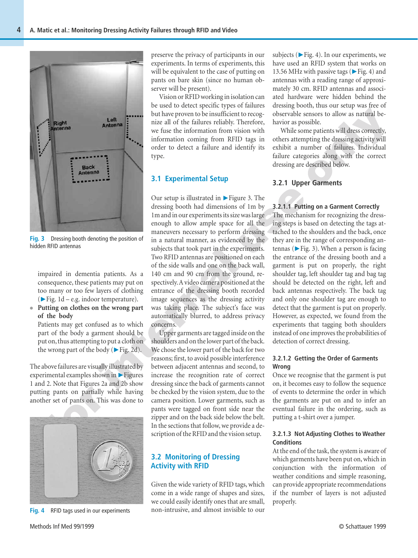

3 Dressing booth denoting the position of<br>den RFID antennas<br>impaired in dementia patients. As a hidden RFID antennas

<sub>1</sub> denoting the position of<br>has<br>dementia patients. As a<br>these patients may put on mentia patients. As a<br>se patients may put on<br>few lavers of clothing mpaired in dementia patients. As<br>onsequence, these patients may put c<br>oo many or too few layers of clothir<br>Fig. 1d – e.g. indoor temperature). metally attention putched. The acconsequence, these patients may put on<br>too many or too few layers of clothing<br>( $\blacktriangleright$  Fig. 1d – e.g. indoor temperature).<br>**Putting on clothes on the wrong part**<br>of the body<br>Patients may ge **o** commentional patients. As a<br>tence, these patients may put on<br>1y or too few layers of clothing<br>1d – e.g. indoor temperature).<br>**on clothes on the wrong part** consequence, these patients may put on<br>too many or too few layers of clothing<br>
( $\blacktriangleright$  Fig. 1d – e.g. indoor temperature).<br> **Putting on clothes on the wrong part**<br>
of the body<br>
Patients may get confused as to which too many o<br>(DEix 1.4)

too many or too tew layers of clothing<br>
( $\blacktriangleright$  Fig. 1d – e.g. indoor temperature).<br> **Putting on clothes on the wrong part**<br>
of the body<br>
Patients may get confused as to which<br>
part of the body a garment should be of the body

tting on clothes on the wrong part<br>the body<br>ients may get confused as to which<br>t of the body a garment should be<br>on, thus attempting to put a cloth or<br>wrong part of the body ( $\blacktriangleright$  Fig. 2d). failures are visually a stock.<br>The body a garment should be thus attempting to put a cloth on<br>mg part of the body ( $\triangleright$  Fig. 2d).<br>failures are visually illustrated by part of the body a garment should be<br>put on, thus attempting to put a cloth on e body a garment should be<br>is attempting to put a cloth on<br>part of the body ( $\blacktriangleright$  Fig. 2d).<br>lures are visually illustrated by<br>examples shown in  $\blacktriangleright$  Figures the wrong <sub>l</sub>

put on, thus attempting to put a cloth on<br>the wrong part of the body ( $\blacktriangleright$  Fig. 2d).<br>The above failures are visually illustrated by<br>experimental examples shown in  $\blacktriangleright$  Figures<br>1 and 2. Note that Figures 2a and 2b sho part of the body ( $\blacktriangleright$  Fig. 2d).<br>
ures are visually illustrated by<br>
xamples shown in  $\blacktriangleright$  Figures<br>
that Figures 2a and 2b show<br>
on partially while having The above failures are visually illustrated by ailures are visually illustrated by<br>al examples shown in  $\blacktriangleright$  Figures<br>te that Figures 2a and 2b show<br>nts on partially while having<br>of pants on. This was done to



Fig. 4 RFID tags used in our experiments

through RFID and Video<br>the privacy of participants in our **In the STAN STAN STAND AND STANDARY**<br>In terms of experiments, this **through RFID and Video**<br>Serve the privacy of participants in our<br>eriments. In terms of experiments, this<br>be equivalent to the case of putting on rticipants in our<br>xperiments, this<br>se of putting on<br>no human obpreserve the privacy of<br>experiments. In terms<br>will be equivalent to th<br>pants on bare skin (si<br>server will be present). experiments. In terms of experiments, this the privacy of participants in our<br>nts. In terms of experiments, this<br>uivalent to the case of putting on<br>bare skin (since no human ob-<br>l be present).<br>or RFID working in isolation can experiments. In terms of experiments, this<br>will be equivalent to the case of putting on<br>pants on bare skin (since no human ob-<br>server will be present).<br>Vision or RFID working in isolation can<br>be used to detect specific typ will be equivalent to the case of  $p$ <br>weaks are have also *followed* as he سىس<br>-----

pants on bare skin (since the skin (since the skin)

the setting of<br>ation can<br>of failures<br>to recogis on bare skin (since no human ob-<br>er will be present).<br>Tision or RFID working in isolation can<br>sed to detect specific types of failures<br>have proven to be insufficient to recog-<br>all of the failures reliably. Therefore.  $rac{1}{\sqrt{2}}$ Frame Wer will be present).<br>
Vision or RFID working in isolation can<br>
used to detect specific types of failures<br>
thave proven to be insufficient to recog-<br>
ie all of the failures reliably. Therefore,<br>
fuse the information Vision or RFID working in isolation can<br>be used to detect specific types of failures<br>but have proven to be insufficient to recog-<br>nize all of the failures reliably. Therefore,<br>we fuse the information from vision with<br>infor be used to detect specific type<br>herthanic measure to hain with i but have proven to be insufficient to recognize all of the failures reliably. Therefore, we fuse the information from vision with information coming from RFID tags in nize all of the failures reliably. Therefore, order to detect a failure and identify its order to detect a failure an<br>type.<br>**3.1 Experimental Setup** type.

**Experimental Setup**<br>setup is illustrated in  $\blacktriangleright$  Figure 3. The **perimental Setup**<br>up is illustrated in  $\blacktriangleright$  Figure 3. The<br>booth had dimensions of 1m by **Experimental Setup**<br>**r** setup is illustrated in  $\blacktriangleright$  Figure 3. The<br>ssing booth had dimensions of 1m by<br>and in our experiments its size was large **Example 18**<br>trated in ► Figure 3. The<br>ad dimensions of 1m by<br>periments its size was large<br>ample space for all the Our setup is illustrated in  $\blacktriangleright$  Figure 3. The dressing booth had dimensions of 1m by 1m and in our experiments its size was large enough to allow ample space for all the maneuvers necessary to perform dressing dressing booth had dimensions of 1m by a setup is illustrated in Figure 3. The<br>essing booth had dimensions of 1m by<br>m and in our experiments its size was large<br>ough to allow ample space for all the<br>aneuvers necessary to perform dressing<br>a natural manner, as evi  $\frac{1}{2}$  m and in the sum of the experiments its size was large<br>to allow ample space for all the<br>ers necessary to perform dressing<br>ural manner, as evidenced by the<br>that took part in the experiments.<br>D antennas are positioned on each enough to allow ample space tor all the<br>maneuvers necessary to perform dressing<br>in a natural manner, as evidenced by the<br>subjects that took part in the experiments.<br>Two RFID antennas are positioned on each<br>of the side wall in a natural manner, as evidenced by the maneavely necessary to perform are<br>samplined and manner, as evidenced by the<br>subjects that took part in the experiments.<br>Two RFID antennas are positioned on each<br>of the side walls and one on the back wall,<br>140 cm and 90 cm k part in the experiments.<br>
nas are positioned on each<br>
and one on the back wall,<br>
cm from the ground, re-<br>
eo camera positioned at the<br>
dressing booth recorded Two RFID antennas are positioned on each<br>of the side walls and one on the back wall,<br>140 cm and 90 cm from the ground, re-<br>spectively. A video camera positioned at the<br>entrance of the dressing booth recorded<br>image sequence 140 cm and 90 cm from the ground, rethe side walls and one on the back wall,<br>cm and 90 cm from the ground, re-<br>tively. A video camera positioned at the<br>rance of the dressing booth recorded<br>ge sequences as the dressing activity<br>taking place. The subject's fac spectively. A video camera positioned at the the arground, the<br>era positioned at the<br>mg booth recorded<br>the dressing activity<br>the subject's face was<br>to address privacy example. The dress: Improporting booth recorded<br>the dressing activity<br>exploited inside on the<br>tagged inside on the image sequences as the dressing activity<br>was taking place. The subject's face was ces as the dressing activity<br>ace. The subject's face was<br>blurred, to address privacy<br>nents are tagged inside on the<br>on the lower part of the back. was taking place. The subject's face was<br>automatically blurred, to address privacy<br>concerns. Upper garments are tagged inside on the<br>shoulders and on the lower part of the back.<br>We chose the lower part of the back for two concerns.

fically blurred, to address privacy<br>s.<br>r garments are tagged inside on the<br>rs and on the lower part of the back.<br>e the lower part of the back for two<br>first, to avoid possible interference Upper garments are tagged inside on the s.<br>
r garments are tagged inside on the<br>
rs and on the lower part of the back.<br>
e the lower part of the back for two<br>
first, to avoid possible interference<br>
adiacent antennas and second, to  $chould$ the recognition rate of the back.<br>
the lower part of the back for two<br>
first, to avoid possible interference<br>
adjacent antennas and second, to<br>
the recognition rate of correct<br>
since the back of garments cannot We chose the lower part of the back for two We chose the lower part of the back for two<br>reasons; first, to avoid possible interference<br>between adjacent antennas and second, to<br>increase the recognition rate of correct<br>dressing since the back of garments cannot<br>be che between adjacent antennas and second, to ; first, to avoid possible interference<br>in adjacent antennas and second, to<br>e the recognition rate of correct<br>g since the back of garments cannot<br>ked by the vision system, due to the<br>position. Lower garments, such as increase the recognition rate of correct een adjacent antennas and second, to<br>see the recognition rate of correct<br>ing since the back of garments cannot<br>ecked by the vision system, due to the<br>ra position. Lower garments, such as<br>were tagged on front side near the dressing since the back of garments cannot se the recognition rate of correct<br>ag since the back of garments cannot<br>cked by the vision system, due to the<br>a position. Lower garments, such as<br>were tagged on front side near the<br>and on the back side below the belt. dressing since the back of garments cannot<br>be checked by the vision system, due to the<br>camera position. Lower garments, such as<br>pants were tagged on front side near the<br>zipper and on the back side below the belt.<br>In the se be checked by the vision system, due to th<br>camera position. Lower garments, such a<br>pants were tagged on front side near th<br>zipper and on the back side below the bel<br>In the sections that follow, we provide a de<br>scription of In the sections that follow, we provide a de**he sections that follow, we proprion of the RFID and the vision<br><b>Monitoring of Dressing scription** of the

## scription of the RFID<br>**3.2 Monitoring of<br><mark>Activity with RFID</mark> nitoring of Dressing<br>with RFID<br>wide variety of RFID tags, which** 3.2 Monitoring of Dressing

**Monitoring of Dressing<br>
vity with RFID<br>
ithe wide variety of RFID tags, which<br>
in a wide range of shapes and sizes. EXECUTE COULD EVALUATE:**<br> **COULD EXECUTE:**<br> **COULD EXECUTE:**<br>
The in a wide range of shapes and sizes,<br>
could easily identify ones that are small. iety of RFID tags, which<br>ige of shapes and sizes,<br>itify ones that are small,<br>almost invisible to our

ects (►Fig. 4). In our experiments, we used an RFID system that works on cts ( $\blacktriangleright$  Fig. 4). In our experiments, we used an RFID system that works on MHz with passive tags ( $\blacktriangleright$  Fig. 4) and ► Fig. 4). In our experiments, we<br>d an RFID system that works on<br>Hz with passive tags (► Fig. 4) and<br>with a reading range of approxisubjects ( $\blacktriangleright$  Fig. 4). In our experiments, we have used an RFID system that works on 13.56 MHz with passive tags ( $\blacktriangleright$  Fig. 4) and antennas with a reading range of approximately 30 cm. RFID antennas and associhave used an RFID system that works on ects (DFig. 4). In our experiments, we<br>
i used an RFID system that works on<br>
6 MHz with passive tags (DFig. 4) and<br>
mnas with a reading range of approxi-<br>
ely 30 cm. RFID antennas and associ-<br>
hardware were hidden behind t have used an RFID system that works on<br>13.56 MHz with passive tags ( $\blacktriangleright$  Fig. 4) and<br>antennas with a reading range of approxi-<br>mately 30 cm. RFID antennas and associ-<br>ated hardware were hidden behind the<br>dressing booth, antennas with a reading range of approxisensive tags ( $\blacktriangleright$  Fig. 4) and<br>vith a reading range of approxi-<br>cm. RFID antennas and associ-<br>ware were hidden behind the<br>poth, thus our setup was free of<br>sensors to allow as natural bemately 30 cm. RFID antennas and associas with a read<br>30 cm. RFI<br>aardware wag booth, th<br>able sensors<br>as possible. ated hardware were hidden behind the matted hardware were hidden behind the<br>dressing booth, thus our setup was free of<br>observable sensors to allow as natural be-<br>havior as possible.<br>While some patients will dress correctly. dressing and the matter sensor to allow as natural be-<br>as possible.<br>le some patients will dress correctly,<br>attempting the dressing activity will<br>a number of failures. Individual observable sensors to allow as natural behavior as possible.

s possible.<br>
s possible.<br>
s some patients will dress correctly,<br>
ttempting the dressing activity will<br>
a number of failures. Individual<br>
categories along with the correct<br>
are described below. While some patients will dress correctly, exhibit a number of failures. Individual<br>failure categories along with the correct dressing are described below.

### **3.2.1.11**<br>**3.2.1.11** Inner G  $3.2.1$  U

tached to the

**Putting on a Garments<br>Putting on a Garment Correctly** Forments<br> **Solution a Garment Correctly**<br>
for recognizing the dresspper Garments<br>
Putting on a Garment Correctly<br>
hanism for recognizing the dress-<br>
is based on detecting the tags at**ng on a Garment Correctly**<br>sm for recognizing the dress-<br>ased on detecting the tags at-<br>shoulders and the back, once  $\overline{\mathbf{r}}$ Putting on a Garment Correctly<br>chanism for recognizing the dress-<br>is is based on detecting the tags at-<br>o the shoulders and the back, once<br>in the range of corresponding an-The mechanism for recognizing the dress-**Putting on a Garment Correctly**<br>echanism for recognizing the dress-<br>ps is based on detecting the tags at-<br>to the shoulders and the back, once<br>e in the range of corresponding an-<br> $(\blacktriangleright$  Fig. 3). When a person is facing ing steps is based on detecting the tags ate mechanism for recognizing the dress-<br>steps is based on detecting the tags at-<br>hed to the shoulders and the back, once<br>y are in the range of corresponding an-<br>nas ( $\blacktriangleright$  Fig. 3). When a person is facing<br>entrance of the ing steps is based on detecting the tags at-<br>tached to the shoulders and the back, once<br>they are in the range of corresponding an-<br>tennas ( $\blacktriangleright$  Fig. 3). When a person is facing<br>the entrance of the dressing booth and a<br>g they are in the range of corresponding anthe shoulders and the back, once<br>in the range of corresponding an-<br>Fig. 3). When a person is facing<br>nnce of the dressing booth and a<br>is put on properly, the right<br>tag. left shoulder tag and bag tag tennas ( $\blacktriangleright$  Fig. 3). When a person is facing e in the range of corresponding an-<br>(►Fig. 3). When a person is facing<br>trance of the dressing booth and a<br>tt is put on properly, the right<br>er tag, left shoulder tag and bag tag<br>be detected on the right, left and the entrance of the dressing booth and a as ( $\blacktriangleright$  Fig. 3). When a person is facing<br>entrance of the dressing booth and a<br>hent is put on properly, the right<br>lder tag, left shoulder tag and bag tag<br>ld be detected on the right, left and<br>antennas respectively. The the entrance of the dressing booth and a<br>garment is put on properly, the right<br>shoulder tag, left shoulder tag and bag tag<br>should be detected on the right, left and<br>back antennas respectively. The back tag<br>and only one sho shoulder tag, left shoulder tag and bag tag In the sput on properly, the right<br>der tag, left shoulder tag and bag tag<br>d be detected on the right, left and<br>antennas respectively. The back tag<br>nly one shoulder tag are enough to<br>that the garment is put on properly. should be detected on the right, left and as expected on the right, left and<br>back antennas respectively. The back tag<br>and only one shoulder tag are enough to<br>detect that the garment is put on properly.<br>However, as expected, we found from the<br>experiments that taggi imal responsible that and one shoulder tag are enough to<br>the garment is put on properly.<br>as expected, we found from the<br>nts that tagging both shoulders<br>fone improves the probabilities of<br>of correct dressing. and only one shoulder tag are enough to<br>detect that the garment is put on properly. Instead of one improves the probabilities<br> **3.2.1.2** Getting the Order of Garments **detection** of co that the probabilities of<br>t dressing.<br>**e Order of Garments**<br>that the garment is put

## theg the Order of Garments<br>nise that the garment is put<br>easy to follow the sequence of

**2.1.2 Getting the Order of Garments<br>rong**<br>nce we recognise that the garment is put<br>n, it becomes easy to follow the sequence<br>cevents to determine the order in which 1.2 Getting the Order of Garments<br>
ong<br>
ce we recognise that the garment is put<br>
it becomes easy to follow the sequence<br>
events to determine the order in which<br>
garments are put on and to infer an eventual<br>Once we failure is put<br>the stop discussed in the sequence<br>to determine the order in which<br>nents are put on and to infer an<br>failure in the ordering, such as recognise that the gar<br>
omes easy to follow the<br>
to determine the ord<br>
ents are put on and<br>
failure in the orderit<br>
t-shirt over a jumper. **3.2.1.3 Not Adjusting** a t-shirt over a jumper.<br>**3.2.1.3 Not Adjusting Clothes to Weather PULLER CONDITIONS** 

## entual failure in the ordering, such as<br>tting a t-shirt over a jumper.<br>2.1.3 Not Adjusting Clothes to Weather<br>mditions<br>the end of the task, the system is aware of a jumper.<br>**g Clothes to Weather**<br>, the system is aware of<br>been put on, which in conjunction<br>Contractions Conditions

Not Adjusting Clothes to Weather<br>
and of the task, the system is aware of<br>
arments have been put on, which in<br>
tion with the information of<br>
conditions and simple reasoning, **Conditions**<br>At the end of the task, the system is aware of<br>which garments have been put on, which in<br>conjunction with the information of<br>weather conditions and simple reasoning,<br>can provide appropriate recommendations In the number the data, the syntheoperation with the information of weather conditions and simple reasoning, can provide appropriate recommendations if the number of lavers is not adjusted conjunction with the information of properly.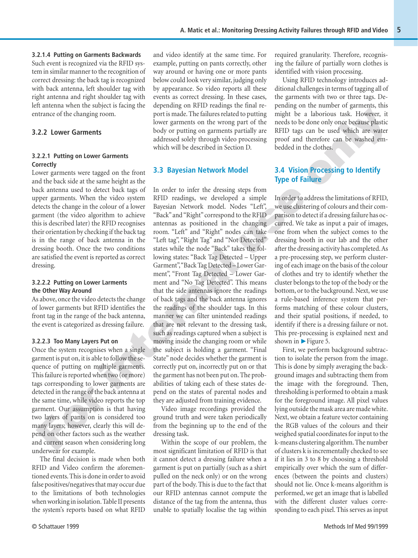Using RFID

 **Putting on Garments Backwards Example 3.4 Putting on Garments Backwards**<br>event is recognized via the RFID sys**manue of Garments Backwards**<br>recognized via the RFID sys-<br>manner to the recognition of **Solution Garments Backwards**<br>tognized via the RFID sys-<br>anner to the recognition of<br>the back tag is recognized  $3.3.4$ **4 Putting on Garments Backwards**<br>i event is recognized via the RFID sys-<br>in similar manner to the recognition of<br>ect dressing: the back tag is recognized<br>back antenna, left shoulder tag with 3.2.1.4 Puttir<br>Such arent is **g on Garments Backwards**<br>recognized via the RFID sys-<br>manner to the recognition of<br>ag: the back tag is recognized<br>tenna, left shoulder tag with<br>and right shoulder tag with Such event is recognized via the RFID system in similar manner to the recognition of<br>correct dressing: the back tag is recognized<br>with back antenna, left shoulder tag with<br>right antenna and right shoulder tag with<br>left ant correct dressing: the back tag is recognized expanding to the rec<br>g: the back tag is<br>nna, left should<br>and right should<br>nen the subject is<br>changing room. **3.2.2 Lower Garments**

## **3.2.2 Lower Garments**

correct dressing:<br>Correct dressing:

## **Publish Comments**<br>**Pulled antenna antenna antenna antenna antenna antenna antenna antenna antenna antenna antenna antenna antenna**<br>**Back antenna antenna antenna antenna antenna antenna antenna antenna antenna antenna ante S.2.2 Lower Garments**<br>**3.2.2.1 Putting on Lower Garments<br>Correctly**<br>Lower garments were tagged on the front 3.2.2.1 Putting c<br>Correctly

**3.2.2.1 Putting on Lower Garments<br>Correctly**<br>Lower garments were tagged on the front<br>and the back side at the same height as the **g on Lower Garments**<br>nts were tagged on the front<br>side at the same height as the<br>used to detect back tags of on Lower Garments<br>were tagged on the front<br>at the same height as the<br>ed to detect back tags of<br>When the video system ments were tagged on the front<br>ck side at the same height as the<br>ma used to detect back tags of<br>ments. When the video system<br>change in the colour of a lower is were tagged on the front<br>side at the same height as the<br>used to detect back tags of<br>nts. When the video system<br>ange in the colour of a lower<br>video algorithm to achieve and the back sid<br>back antenna u le at the same height as the<br>sed to detect back tags of<br>i. When the video system<br>ge in the colour of a lower<br>ideo algorithm to achieve<br>later) the RFID recognises back antenna used to detect back tags of<br>upper garments. When the video system<br>detects the change in the colour of a lower<br>garment (the video algorithm to achieve<br>this is described later) the RFID recognises<br>their orientat detects the change in the colour of a lower pper garments. When the video system<br>etects the change in the colour of a lower<br>arment (the video algorithm to achieve<br>is is described later) the RFID recognises<br>neir orientation by checking if the back tag<br>in the range of garment (the video algorithm to achieve he change in the colour of a lower<br>
(the video algorithm to achieve<br>
secribed later) the RFID recognises<br>
entation by checking if the back tag<br>
e range of back antenna in the<br>
booth. Once the two conditions  $\overline{a}$  this is described later) the RFID recognises rideo algorithm to achieve<br>I later) the RFID recognises<br>in by checking if the back tag<br>e of back antenna in the<br>. Once the two conditions<br>event is reported as correct  $\frac{1000}{1000}$ dressing. **3.2.2.2 Putting on Lower Larments**<br>**3.2.2.2 Putting on Lower Larments** e satisfied the event is reported as correct<br>essing.<br>**2.2.2 Putting on Lower Larments<br>e Other Way Around**<br>above, once the video detects the change of

### **Outherry Arists**<br>**Other Way Around**<br>**Other Way Around** .<br>1 *د د د* د the Other Way Around

essing.<br>**2.2.2 Putting on Lower Larments<br>e Other Way Around**<br>a above, once the video detects the change<br>I lower garments but RFID identifies the **3.2.2.2 Putting on Lower Larments**<br> **the Other Way Around**<br>
As above, once the video detects the change<br>
of lower garments but RFID identifies the<br>
front tag in the range of the back antenna, **Putting on Lower Larments.**<br> **Other Way Around**<br>
above, once the video detects the change<br>
lower garments but RFID identifies the<br>
nt tag in the range of the back antenna,<br>
event is categorized as dressing failure. front ta **I** are the back of the back of the back of the is categorized as dressing **Too Many Lavers Put** on garments but RFID identifies the<br>in the range of the back antenna,<br>is categorized as dressing failure.<br>**oo Many Layers Put on**<br>system recognises when a single  $\frac{1}{2}$ 

#### 3.2.2.3 Too Many Layers Put on

Front tag in the range of the back antenna,<br>the event is categorized as dressing failure.<br>**3.2.2.3 Too Many Layers Put on**<br>Once the system recognises when a single<br>garment is put on, it is able to follow the sent is categorized as dressing failure.<br> **Too Many Layers Put on**<br>
the system recognises when a single<br>
ti is put on, it is able to follow the se-<br>
of putting on multiple garments. I **Many Layers Put on**<br>Integral meric when a single<br>put on, it is able to follow the se-<br>putting on multiple garments.<br>Is reported when two (or more) Once the system recognises when a single **Example 3 Alta Conserventive Conservent**<br>tis able to follow the se-<br>on multiple garments.<br>ted when two (or more)<br>to lower garments are Once the system recognises when a single<br>garment is put on, it is able to follow the se-<br>quence of putting on multiple garments.<br>This failure is reported when two (or more)<br>tags corresponding to lower garments are<br>detected quence of putting on multiple garments. ment is put on, it is able to follow the se-<br>ence of putting on multiple garments.<br>is failure is reported when two (or more)<br>s corresponding to lower garments are<br>ected in the range of the back antenna at<br>same time, while This failure is report The parameters of the parameters.<br>
The is reported when two (or more)<br>
seponding to lower garments are<br>
in the range of the back antenna at<br>
time, while video reports the top<br>
Our assumption is that having<br>
So the post of m<sub>o</sub>o orresponding to lower garments are<br>ted in the range of the back antenna at<br>me time, while video reports the top<br>ent. Our assumption is that having<br>ayers of pants on is considered too<br>lavers: however, clearly this will dethe same time, while video reports the top ted in the range of the back antenna at<br>ame time, while video reports the top<br>ent. Our assumption is that having<br>ayers of pants on is considered too<br>layers; however, clearly this will de-<br>on other factors such as the weath garment. Our assumption is that having same time, while video reports the top<br>nent. Our assumption is that having<br>layers of pants on is considered too<br>by layers; however, clearly this will de-<br>d on other factors such as the weather<br>current season when consideri garment. Our assumpt<br>two layers of pants on<br>many layers; however, c<br>pend on other factors s<br>and current season whe<br>underwear for example. o layers o<br>The lovers decision is contributed behavior in the layers; however, clearly this will de-<br>on other factors such as the weather<br>urrent season when considering long<br>wear for example.<br>e final decision is made when both<br>and Video confirm many layers; however, clearly this will de-<br>pend on other factors such as the weather and current season when consid<br>underweer for example

pend on other factors such as the weather<br>and current season when considering long<br>underwear for example.<br>The final decision is made when both<br>RFID and Video confirm the aforemen-<br>tioned events. This is done in order to av ering long<br>vhen both<br>aforemen-<br>er to avoid<br>occur due toThe final decision is made when both<br>The final decision is made when both<br>The and Video confirm the aforemen-<br>phed events. This is done in order to avoid<br>se positives/negatives that may occur due<br>the limitations of both te The final decision is made when both<br>RFID and Video confirm the aforemen-IID and Video confirm the aforemen-<br>
ID and Video confirm the aforemen-<br>
repositives/negatives that may occur due<br>
the limitations of both technologies<br>
en working in isolation. Table II presents<br>
system's reports based on tion

A. Matic et al.: Monitoring Dress<br>video identify at the same time. For **Cancelet al.: Monitoring Dress**<br>fy at the same time. For<br>on pants correctly, other Matic et al.: Monitoring Dress<br>dentify at the same time. For<br>tting on pants correctly, other<br>or having one or more pants ideo identify at the same time. For<br>ple, putting on pants correctly, other<br>round or having one or more pants<br>could look very similar, judging only <sub>on</sub> d video identify at the same time. For<br>ample, putting on pants correctly, other<br>y around or having one or more pants<br>low could look very similar, judging only<br>appearance. So video reports all these example, putting on pants correctly, other deo identify at the same time. For<br>le, putting on pants correctly, other<br>cound or having one or more pants<br>could look very similar, judging only<br>bearance. So video reports all these<br>as correct dressing. In these cases. example, putting on pants correctly, other<br>way around or having one or more pants<br>below could look very similar, judging only<br>by appearance. So video reports all these<br>events as correct dressing. In these cases,<br>depending below could look very similar, judging only around or having one or more pants<br>w could look very similar, judging only<br>ppearance. So video reports all these<br>ts as correct dressing. In these cases,<br>ending on RFID readings the final re-<br>is made. The failures related t by appearance. So video reports all these mular, judging only<br>co reports all these<br>ing. In these cases,<br>adings the final re-<br>es related to putting<br>wrong part of the events as correct dressing. In these cases, or through the through the cases,<br>
FID readings the final re-<br>
e failures related to putting<br>
on the wrong part of the<br>
on garments partially are<br>
through video processing events as correc<br>depending on P depending on RFID rea<br>nort is made. The failure in Section D.<br>
Section D.<br>
Section D.<br>
Section D. **3.3 Bayesian Network Model** which will be described in Section  $D$ .

# Ill be described in Section D.<br> **yesian Network Model**<br>
to infer the dressing steps from **3.3 Bayesian Network Model**

**Bayesian Network Model**<br>der to infer the dressing steps from<br>readings, we developed a simple **yesian Network Model**<br>to infer the dressing steps from<br>adings, we developed a simple<br>Network model. Nodes "Left". er to infer the dressing steps from<br>readings, we developed a simple<br>in Network model. Nodes "Left",<br>and "Right" correspond to the RFID In order to infor the diressing steps from<br>weloped a simple<br>del. Nodes "Left",<br>spond to the RFID<br>in the changing In order to infer<br>PEID readings the dressing steps from<br>we developed a simple<br>k model. Nodes "Left",<br>"correspond to the RFID<br>tioned in the changing<br>"Right" nodes can take Bayesian Network model. Nodes "Left", dings, we developed a simple<br>
Network model. Nodes "Left",<br>
d "Right" correspond to the RFID<br>
as positioned in the changing<br>
fit" and "Right" nodes can take<br>
"Right Tag" and "Not Detected" "Back" and "Right" correspond to the RFID an Network model. Nodes "Lett",<br>
"and "Right" correspond to the RFID<br>
nas as positioned in the changing<br>
. "Left" and "Right" nodes can take<br>
tag", "Right Tag" and "Not Detected"<br>
while the node "Back" takes the fol- $\frac{1}{1}$ and "Right" correspond to the RFID<br>as as positioned in the changing<br>"Left" and "Right" nodes can take<br>ag", "Right Tag" and "Not Detected"<br>while the node "Back" takes the fol-<br>states: "Back Tag Detected – Upper room. "Left" and "Right" nodes can take ned in the changing<br>Right" nodes can take<br>g" and "Not Detected"<br>e "Back" takes the fol-<br>Tag Detected – Upper<br>Detected – Lower Gar-"Left tag", "Right Tag" and "Not Detected" "Lett" and "Right" nodes can take<br>ag", "Right Tag" and "Not Detected"<br>while the node "Back" takes the fol-<br>states: "Back Tag Detected – Upper<br>nrt", "Back Tag Detected – Lower Gar-<br>"Front Tag Detected – Lower Gar-"Lett tag", "Right Tag" and "Not Detected"<br>states while the node "Back" takes the fol-<br>lowing states: "Back Tag Detected – Upper<br>Garment", "Back Tag Detected – Lower Gar-<br>ment", "Front Tag Detected – Lower Gar-<br>ment and "N states while the node "Back" takes the fol-<br>lowing states: "Back Tag Detected – Upper<br>Garment", "Back Tag Detected – Lower Gar-<br>ment", "Front Tag Detected – Lower Gar-<br>ment and "No Tag Detected". This means<br>that the side a lowing states: "Back Tag Detected – Upper<br>Garment", "Back Tag Detected – Lower Garment", "Front Tag Detected – Lower Garment and "No Tag Detected". This means<br>that the side antennas ignore the readings<br>of back tags and the ment", "Front Tag Detected - Lower Garment", "Front Tag Detected – Lower Garment and "No Tag Detected – Lower Garment and "No Tag Detected". This means that the side antennas ignore the readings of back tags and the back antenna ignores the readings of the sho ment and "No Tag Detected". This means<br>that the side antennas ignore the readings<br>of back tags and the back antenna ignores<br>the readings of the shoulder tags. In this<br>manner we can filter unintended readings<br>that are not r that the side antennas ignore the readings<br>of back tags and the back antenna ignores<br>the readings of the shoulder tags. In this<br>manner we can filter unintended readings<br>that are not relevant to the dressing task,<br>such as r the readings of the shoulder tags. In this tags and the back antenna ignores<br>lings of the shoulder tags. In this<br>we can filter unintended readings<br>not relevant to the dressing task,<br>readings captured when a subject is<br>inside the changing room or while the readings of the shoulder tags. In this<br>manner we can filter unintended readings<br>that are not relevant to the dressing task,<br>such as readings captured when a subject is<br>moving inside the changing room or while<br>the subie manner we can filter unintended readings<br>that are not relevant to the dressing task,<br>such as readings captured when a subject is<br>moving inside the changing room or while<br>the subject is holding a garment. "Final<br>State" node that are not relevant to the dressing task,<br>such as readings captured when a subject is<br>moving inside the changing room or while<br>the subject is holding a garment. "Final<br>State" node decides whether the garment is<br>correctly such as readings captured when a subject is<br>moving inside the changing room or while<br>the subject is holding a garment. "Final<br>State" node decides whether the garment is<br>correctly put on, incorrectly put on or that<br>the garm the subject is holding a garment. "Final changing room or while<br>Iding a garment. "Final<br>es whether the garment is<br>ncorrectly put on or that<br>of these states de-State" node decides whether the garment is " node decides whether the garment. "Final"<br>" node decides whether the garment is<br>ctly put on, incorrectly put on or that<br>arment has not been put on. The prob-<br>ies of taking each of these states de-<br>on the states of parent State" n<br>correctl by put on, incorrectly put on or the<br>nent has not been put on. The prolof taking each of these states d<br>n the states of parental nodes are adjusted from training evidence. rectly put on<br>cormont bas recording put on or that<br>not been put on. The prob-<br>ig each of these states de-<br>tes of parental nodes and<br>if from training evidence.<br>recordings provided the the garment h<br>abilities of to as not been put on. The prob-<br>king each of these states de-<br>states of parental nodes and<br>ted from training evidence.<br>ge recordings provided the<br>and were taken periodically abilities of taking each of these states depend on the states of parental nodes and the best de-<br>on the states of parental nodes and<br>are adjusted from training evidence.<br>deo image recordings provided the<br>nd truth and were taken periodically<br>the beginning up to the end of the

they are adjust<br>Video imag<br>ground truth<br>from the begi<br>dressing task. ed from training evidence.<br>ge recordings provided the<br>and were taken periodically<br>nning up to the end of the<br>scope of our problem, the Video image recordings provided the<br>ground truth and were taken periodically In the tracker periodically<br>ting up to the end of the<br>cope of our problem, the<br>limitation of RFID is that dressing task.

ground truth and were taken periodically<br>from the beginning up to the end of the<br>dressing task.<br>Within the scope of our problem, the<br>most significant limitation of RFID is that<br>it cannot detect a dressing failure when a nning up to the end of the<br>scope of our problem, the<br>tt limitation of RFID is that<br>tt a dressing failure when a<br>on partially (such as a shirt Within the scope of our problem, the ing task.<br>
hin the scope of our problem, the<br>
ignificant limitation of RFID is that<br>
not detect a dressing failure when a<br>
nt is put on partially (such as a shirt<br>
on the neck only) or on the wrong Within the scope of our problem, the<br>most significant limitation of RFID is that<br>it cannot detect a dressing failure when a<br>garment is put on partially (such as a shirt<br>pulled on the neck only) or on the wrong<br>part of the it cannot detect a dressing failure when a ficant limitation of RFID is that<br>detect a dressing failure when a<br>sput on partially (such as a shirt<br>the neck only) or on the wrong<br>body. This is due to the fact that<br>antennas cannot compute the it cannot detect a dressing failure when a<br>garment is put on partially (such as a shirt<br>pulled on the neck only) or on the wrong<br>part of the body. This is due to the fact that<br>our RFID antennas cannot compute the<br>distance garment is put on partially (such as a shirt<br>pulled on the neck only) or on the wrong<br>part of the body. This is due to the fact that<br>our RFID antennas cannot compute the<br>distance of the tag from the antenna, thus<br>unable to

ty Failures through RFID and Video<br>
d granularity. Therefore, recognis-<br>
failure of partially worn clothes is es anough at the and vace<br>
larity. Therefore, recognis-<br>
of partially worn clothes is<br>
vision processing.<br>
technology introduces adrequired granularity. Therefore, recognis-<br>ing the failure of partially worn clothes is<br>identified with vision processing.<br>Using RFID technology introduces ad-<br>ditional challenges in terms of tagging all of identified with vision processing.

required granularity. Therefore, recognis-<br>ing the failure of partially worn clothes is<br>identified with vision processing.<br>Using RFID technology introduces ad-<br>ditional challenges in terms of tagging all of<br>the garments wi tailure of partially worn clothes is<br>d with vision processing.<br>g RFID technology introduces ad-<br>challenges in terms of tagging all of<br>nents with two or three tags. De-<br>on the number of garments, this might.<br>I Lei the with vision processing.<br>
ing RFID technology introduces ad-<br>
al challenges in terms of tagging all of<br>
internets with two or three tags. De-<br>
ing on the number of garments, this<br>
be a laborious task. However, it ditional challenges in terms of tagging all of Imp RFID technology introduces ad-<br>
al challenges in terms of tagging all of<br>
arments with two or three tags. De-<br>
Imp on the number of garments, this<br>
i be a laborious task. However, it<br>
to be done only once because plast the garments with two or three tags. Deall challenges in terms of tagging all of<br>arments with two or three tags. De-<br>ng on the number of garments, this<br>t be a laborious task. However, it<br>to be done only once because plastic<br>tags can be used which are water the garments with two or three tags. De-<br>pending on the number of garments, this<br>might be a laborious task. However, it<br>needs to be done only once because plastic<br>RFID tags can be used which are water<br>proof and therefore c might be a laborious task. However, it re name<br>aboriou<br>n be us<br>erefore<br>clothes. pro of and therefore can be washed e<br>ded in the clothes.<br>**Vision Processing to Identify Type**

## **of** in the close<br>**Vision Pro**<br>**of Failure 4 Vision Processing to Identify<br>pe of Failure**<br>order to address the limitations of RFID. **3.4 Vision Processing to Identify<br>
Type of Failure**<br>
In order to address the limitations of RFID,<br>
we use clustering of colours and their com-**Type of Failure** curred.

f Failure<br>to address the limitations of RFID,<br>lustering of colours and their com-<br>to detect if a dressing failure has oc-It is a real to address the limitations of RFID,<br>clustering of colours and their com-<br>to detect if a dressing failure has oc-<br>We take as input a pair of images. In order to address the limitations of RFID. he limitations of RFID,<br>colours and their com-<br>dressing failure has oc-<br>nput a pair of images,<br>subject comes to the we use clustering of colours and their comto address the limitations of RFID,<br>lustering of colours and their com-<br>to detect if a dressing failure has oc-<br>We take as input a pair of images,<br>m when the subject comes to the<br>booth in our lab and the other  $rac{1}{2}$ dustering of colours and their com-<br>to detect if a dressing failure has oc-<br>We take as input a pair of images,<br>m when the subject comes to the<br>booth in our lab and the other<br>dressing activity has completed. As parison to detect if a dressing failure has oc-<br>curred. We take as input a pair of images,<br>one from when the subject comes to the<br>dressing booth in our lab and the other<br>after the dressing activity has completed. As<br>a preone from when the subject comes to the is input a pair of images,<br>the subject comes to the<br>n our lab and the other<br>activity has completed. As<br>step, we perform cluster-<br>on the basis of the colour dressing booth in our lab and the other ie from when the subject comes to the<br>essing booth in our lab and the other<br>ter the dressing activity has completed. As<br>pre-processing step, we perform cluster-<br>g of each image on the basis of the colour<br>clothes and try to after the dressing activity has completed. As n our lab and the other<br>activity has completed. As<br>step, we perform cluster-<br>on the basis of the colour<br>y to identify whether the<br>the top of the body or the after the dressing activity has completed. As<br>a pre-processing step, we perform cluster-<br>ing of each image on the basis of the colour<br>of clothes and try to identify whether the<br>cluster belongs to the top of the body or the a pre-processing step, we perform cluster-<br>ing of each image on the basis of the colour<br>of clothes and try to identify whether the<br>cluster belongs to the top of the body or the<br>bottom, or to the background. Next, we use<br>a ing of each image on the basis of the colour<br>of clothes and try to identify whether the<br>cluster belongs to the top of the body or the<br>bottom, or to the background. Next, we use<br>a rule-based inference system that per-<br>forms of clothes and try to identify whether the<br>cluster belongs to the top of the body or the<br>bottom, or to the background. Next, we use<br>a rule-based inference system that per-<br>forms matching of these colour clusters,<br>and their cluster belongs to the top of the body or the<br>bottom, or to the background. Next, we use<br>a rule-based inference system that per-<br>forms matching of these colour clusters,<br>and their spatial positions, if needed, to<br>identify a rule-based inference system that pernot be the state growth. Then, the asset alle-based inference system that per-<br>is matching of these colour clusters, their spatial positions, if needed, to<br>tify if there is a dressing failure or not.<br>pre-processing is expl forms matching of these colour clusters, and their spatial positions, if needed, to Characthing of these colour clusters,<br>ir spatial positions, if needed, to<br>if there is a dressing failure or not.<br>-processing is explained next and<br>n▶Figure 5.<br>we perform background subtracunu<br>idon their spatial positions, if needed, to<br>tify if there is a dressing failure or not.<br>pre-processing is explained next and<br>wn in Figure 5.<br>irst, we perform background subtrac-<br>to isolate the person from the image. This pre-processing is explained next and This pre-proce

If the back-them and subtraction<br>pre-processing is explained next and<br>the bright simply subtractions is done by simply averaging the back-<br>indimages and subtracting them from  $\frac{1}{\sqrt{2}}$ wn in  $\blacktriangleright$  Figure 5.<br>First, we perform background subtrac-<br>1 to isolate the person from the image.<br>is is done by simply averaging the back-<br>und images and subtracting them from<br>image with the foreground. Then,  $\frac{1}{100}$  to isolat ground images and subtracting them from for the person from the image.<br>done by simply averaging the back-<br>l images and subtracting them from<br>nage with the foreground. Then,<br>plding is performed to obtain a mask<br>foreground image. All pixel values This is done by simply averaging the backby simply averaging the back-<br>es and subtracting them from<br>with the foreground. Then,<br>is performed to obtain a mask<br>round image. All pixel values<br>the mask area are made white. the image with the foreground. Then, re and go and vacancing area. To<br>mage with the foreground. Then,<br>nolding is performed to obtain a mask<br>e foreground image. All pixel values<br>outside the mask area are made white.<br>we obtain a feature vector containing the image with the foreground. Then,<br>thresholding is performed to obtain a mask<br>for the foreground image. All pixel values<br>lying outside the mask area are made white.<br>Next, we obtain a feature vector containing<br>the RGB val thresholding is performed to obtain a mask<br>for the foreground image. All nivel velues weighed spatial coordinates for input to the<br>k means clustering else rithm. The number for the foreground image. All pixel values<br>lying outside the mask area are made white. oreground image. All pixel values<br>side the mask area are made white.<br>obtain a feature vector containing<br>values of the colours and their<br>spatial coordinates for input to the<br>clustering algorithm. The number Next, we obtain a feature vector containing may outside the mask area are made white.<br>ext, we obtain a feature vector containing<br>e RGB values of the colours and their<br>eighed spatial coordinates for input to the<br>means clustering algorithm. The number<br>clusters k is in the RGB values of the columnation lext, we obtain a feature vector containing<br>ie RGB values of the colours and their<br>reighed spatial coordinates for input to the<br>-means clustering algorithm. The number<br>f clusters k is incrementally checked to see<br>it lies i ours and their<br>for input to the<br>m. The number<br>y checked to see<br>ing a threshold<br>sum of differthe minds algorithm. The number<br>the number<br>of 8 by choosing a threshold<br>the sum of differ-<br>the points and clusters) k-means clustering algorithm. The number<br>of clusters k is incrementally checked to see<br>if it lies in 3 to 8 by choosing a threshold<br>empirically over which the sum of differ-<br>ences (between the points and clusters)<br>should n of clusters k is incrementally checked to see<br>if it lies in 3 to 8 by choosing a threshold<br>empirically over which the sum of differ-<br>ences (between the points and clusters)<br>should not lie. Once k-means algorithm is<br>perform empirically over which the sum of differthe different clusters in 3 to 8 by choosing a threshold<br>irically over which the sum of differ-<br>s (between the points and clusters)<br>ld not lie. Once k-means algorithm is<br>ormed, we get an image that is labelled<br>the differen ences (between the points and clusters) the points and clusters)<br>the points and clusters)<br>of lie. Once k-means algorithm is<br>d, we get an image that is labelled<br>different cluster values corre-<br>to each pixel. This serves as input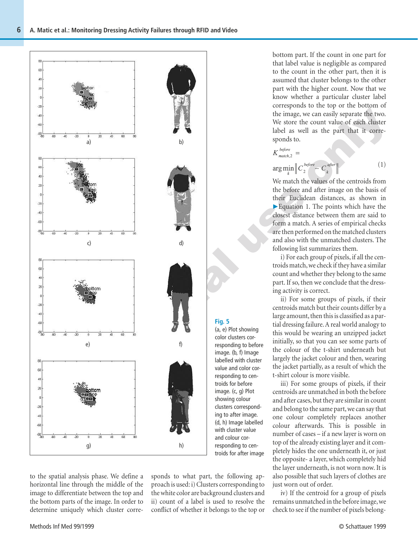

the spatial analysis phase. We define a<br>izontal line through the middle of the<br>age to differentiate between the top and<br>bottom parts of the image. In order to image to differentiate between the top and<br>the bottom parts of the image. In order to<br>determine uniquely which cluster corre-

n) responding to cen-<br>troids for after image<br>to what part, the following ap-<br>is used: i) Clusters corresponding to<br>te color are background clusters and onds to what part, the following ap-<br>oach is used: i) Clusters corresponding to<br>e white color are background clusters and<br>count of a label is used to resolve the the white color are background clusters and<br>ii) count of a label is used to resolve the<br>conflict of whether it belongs to the top or

**5**

 part. If the count in one part for label value is negligible as compared<br>abel value is negligible as compared the count in one part for the count in the count is a compared<br>the count in the other part, then it is belount in one part for expligible as compared<br>other part, then it is<br>belongs to the other part with the second term in the second term in the second term in the second term in the second term in the s<br>The second term in the second term in the second term in the second term in the second term in the second term art. If the count in one part for<br>value is negligible as compared<br>unt in the other part, then it is<br>that cluster belongs to the other<br>the higher count. Now that we bottom part. If the count in one part for<br>that label value is negligible as compared<br>to the count in the other part, then it is<br>assumed that cluster belongs to the other<br>part with the higher count. Now that we<br>know whether that label value is r to the count in the other part, then it is<br>assumed that cluster belongs to the other<br>part with the higher count. Now that we<br>know whether a particular cluster label assumed that cluster belongs to the other the count in the other part, then it is<br>umed that cluster belongs to the other<br>t with the higher count. Now that we<br>ww whether a particular cluster label<br>responds to the top or the bottom of<br>image, we can easily separate t ass umed that cluster belongs to the other<br>t with the higher count. Now that we<br>bw whether a particular cluster label<br>responds to the top or the bottom of<br>image, we can easily separate the two.<br>store the count value of each cl part with the higher count. Now that we<br>pricular cluster label<br>op or the bottom of<br>sily separate the two.<br>value of each cluster<br>part that it corre- $\mathbf{N}$ iow on<br>nge,<br>re t<br>s w<br>to. We store the count value of each cluster<br>label as well as the part that it corresponds to.

assumed that cluster

sponds to.

\n
$$
K_{\text{match},2}^{\text{before}} = \arg\min_{k} \left\| C_2^{\text{before}} - C_k^{\text{after}} \right\|
$$
\nWe match the values of the centroids from the before and after image on the basis of their Euclidean distances, as shown in

arg min  $\|C_2^{before} - C_k^{after}\|$  (1)<br>We match the values of the centroids from<br>the before and after image on the basis of<br>their Euclidean distances, as shown in<br>Equation 1. The points which have the  $\frac{d}{dx}$  are said to the centroids from<br>fore and after image on the basis of<br>Euclidean distances, as shown in<br>ation 1. The points which have the<br>distance between them are said to  $h \circ h$ aatch the values of the centroids from<br>efore and after image on the basis of<br>Euclidean distances, as shown in<br>uation 1. The points which have the<br>st distance between them are said to<br>a match. A series of empirical checks their Euclidean distances, as shown in Finances, as shown in<br>points which have the<br>tween them are said to<br>ries of empirical checks<br>on the matched clusters their Euclidean distances, as shown in<br>
Equation 1. The points which have the<br>
closest distance between them are said to<br>
form a match. A series of empirical checks<br>
are then performed on the matched clusters<br>
and also wit **Equation 1.** The points which<br>closest distance between them a<br>form a match. A series of empir<br>are then performed on the match<br>and also with the unmatched cli<br>following list summarizes them. form a match. A series of empirical checks St distance between them are said to<br>a match. A series of empirical checks<br>hen performed on the matched clusters<br>also with the unmatched clusters. The<br>wing list summarizes them.<br>For each group of pixels, if all the centorm a match. A series<br>are then nerformed on and also with the unmatched clusters. The part and about the different correct.

i) For each group of pixels, if all the cenen performed on the matched clusters<br>lso with the unmatched clusters. The<br>ving list summarizes them.<br>For each group of pixels, if all the cen-<br>match, we check if they have a similar<br>and whether they belong to the same also with the unmatched clusters. The<br>wing list summarizes them.<br>For each group of pixels, if all the cen-<br>s match, we check if they have a similar<br>it and whether they belong to the same<br>If so, then we conclude that the dr ing activity is correct. I) For each group of pixels, if all the cen-<br>ids match, we check if they have a similar<br>int and whether they belong to the same<br>t. If so, then we conclude that the dress-<br>activity is correct.<br>ii) For some groups of pixels, troids match, we<br>count and what count and whether they belong to the same<br>part. If so, then we conclude that the dress-<br>ing activity is correct.<br>ii) For some groups of pixels, if their part. If so, then we conclude that the dress-

t and whether they belong to the same<br>If so, then we conclude that the dress-<br>ctivity is correct.<br>For some groups of pixels, if their<br>roids match but their counts differ by a<br>amount, then this is classified as a part. If so, then we conclude that the dress-<br>activity is correct.<br>ii) For some groups of pixels, if their<br>troids match but their counts differ by a<br>ge amount, then this is classified as a par-<br>dressing failure. A real world is correct.<br>
some groups of pixels, if their<br>
natch but their counts differ by a<br>
nt, then this is classified as a par-<br>
g failure. A real world analogy to<br>
be wearing an unzipped jacket  $\frac{1}{100}$ some groups of pixels, if their<br>is match but their counts differ by a<br>iount, then this is classified as a par-<br>ing failure. A real world analogy to<br>ild be wearing an unzipped jacket<br>so that you can see some parts of centroids match but their counts differ by a<br>large amount, then this is classified as a par-<br>tial dressing failure. A real world analogy to<br>this would be wearing an unzipped jacket<br>initially, so that you can see some parts large amount, then this is classified as a partial dressing failure. A real world analogy to<br>this would be wearing an unzipped jacket<br>initially, so that you can see some parts of<br>the colour of the t-shirt underneath but<br>la tial dressing failure. A real world analogy to<br>this would be wearing an unzipped jacket<br>initially, so that you can see some parts of<br>the colour of the t-shirt underneath but<br>largely the jacket colour and then, wearing<br>the initially, so that you can see some parts of For some parts of<br>the solution of the t-shirt underneath but<br>the jacket colour and then, wearing<br>the partially, as a result of which the<br>t colour is more visible.<br>For some groups of pixels, if their the colour of the t-shirt underneath but the colour of the t-shirt underneath but<br>largely the jacket colour and then, wearing<br>the jacket partially, as a result of which the<br>t-shirt colour is more visible.<br>iii) For some groups of pixels, if their<br>centroids are unm the jacket partially, as a result of which the  $t\text{-}shirt \text{ color}$ 

ely the jacket colour and then, wearing<br>jacket partially, as a result of which the<br>irt colour is more visible.<br>ii) For some groups of pixels, if their<br>roids are unmatched in both the before<br>after cases, but thev are simila packet partially, as a result of which the<br>irt colour is more visible.<br>ii) For some groups of pixels, if their<br>roids are unmatched in both the before<br>after cases, but they are similar in count<br>belong to the same part, we c From groups of pixels, if their<br>e unmatched in both the before<br>ses, but they are similar in count<br>to the same part, we can say that<br>completely replaces another III) For some groups of pixels, if their<br>centroids are unmatched in both the before<br>and after cases, but they are similar in count<br>and belong to the same part, we can say that<br>one colour completely replaces another<br>colour centroids are unmatched in both the before<br>and after cases, but they are similar in count<br>and belong to the same part, we can say that<br>one colour completely replaces another<br>colour afterwards. This is possible in<br>number of and after of<br>and belon cases, but they are similar in count<br>g to the same part, we can say that<br>ur completely replaces another<br>fterwards. This is possible in<br>f cases – if a new layer is worn on<br>already existing layer and it comand belong to the same part, we can say that o the same part, we can say that<br>completely replaces another<br>wards. This is possible in<br>ases – if a new layer is worn on<br>eady existing layer and it com-<br>the one underneath it, or just colour afterwards. This is possible in exact colour completely replaces another<br>our afterwards. This is possible in<br>mber of cases – if a new layer is worn on<br>of the already existing layer and it com-<br>tely hides the one underneath it, or just<br>opposite- a laver,  $t_{\text{total}}$  and the matter layer is work<br>number of cases – if a new layer is work our atterwards. This is possible in<br>mber of cases – if a new layer is worn on<br>of the already existing layer and it com-<br>tely hides the one underneath it, or just<br>opposite- a layer, which completely hid<br>laver underneath, is nom-<br>just<br>hid<br>It is<br>are top of the already existi<br>pletely hides the one u<br>the opposite- a layer, w<br>the layer underneath, is<br>also possible that such<br>just worn out of order. tely hide:<br>Connecite is the one underneath it, or just<br>
i- a layer, which completely hid<br>
derneath, is not worn now. It is<br>
e that such layers of clothes are<br>
ut of order.<br>
centroid for a group of pixels the opposite- a layer, which completely hid in the before in the before in the before image, we<br>in the before image, we<br>in the before image, we the layer underneath, is not worn now. It is<br>also possible that such layers of clothes are

if that such layers of clothes are<br>e that such layers of clothes are<br>it of order.<br>entroid for a group of pixels<br>matched in the before image, we<br>if the number of pixels belong-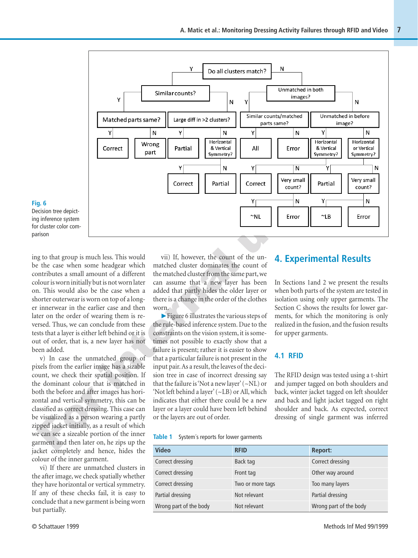



oup is much less. This would<br>when some headgear which<br>small amount of a different in is much less. This would<br>income headgear which<br>small amount of a different<br>initially but is not worn later ing to that group is much less. This would<br>be the case when some headgear which<br>contributes a small amount of a different<br>colour is worn initially but is not worn later<br>on. This would also be the case when a ing to that group is much be the case when some headgear which be the case when some headgear which<br>contributes a small amount of a different<br>colour is worn initially but is not worn later<br>on. This would also be the case when a<br>shorter outerwear is worn on top of a long-<br>er innerwear contributes a small amount of a different<br>colour is worn initially but is not worn later<br>on. This would also be the case when a<br>shorter outerwear is worn on top of a long-<br>er innerwear in the earlier case and then<br>later on on. This would also be the case when a Initially but is not worn later<br>Id also be the case when a<br>wear is worn on top of a long-<br>in the earlier case and then<br>prder of wearing them is re-<br>we can conclude from these on. This would also be the case when a<br>uterwear is worn on top of a long-<br>wear in the earlier case and then<br>the order of wearing them is re-<br>hus, we can conclude from these<br>a laver is either left behind or it is shorter outerwear is worn on top of a long-<br>
interpret case and then<br>
interpret of wearing them is re-<br>
either left behind or it is<br>
is, a new laver has not er innerwear in the earlier case and then<br>later on the order of wearing them is reon the<br>d. Thus<br>that a la<br>of order<br>added. er on the order of wearing them is re-<br>sed. Thus, we can conclude from these<br>ts that a layer is either left behind or it is<br>t of order, that is, a new layer has not<br>en added.<br>y) In case the unmatched group of versed. Thus, we can conclude from these<br>tests that a layer is either left behind or it is<br>out of order, that is, a new layer has not<br>been added.<br>v) In case the unmatched group of<br>pixels from the earlier image has a sizabl tests that a layer i out of order, that is, a new layer has not been added.

of order, that is, a new layer has not<br>in added.<br>w) In case the unmatched group of<br>els from the earlier image has a sizable<br>unt, we check their spatial position. If<br>dominant colour that is matched in v) In case the unmatched group of added.<br>In case the unmatched group of<br>s from the earlier image has a sizable<br>t, we check their spatial position. If<br>dominant colour that is matched in<br>the before and after images has hori- $\frac{1}{2}$ In case the unmatched group of<br>from the earlier image has a sizable<br>we check their spatial position. If<br>minant colour that is matched in<br>he before and after images has hori-<br>and vertical symmetry, this can be pixels from the ear. ther image has a sizable<br>heir spatial position. If<br>fur that is matched in<br>a fatter images has hori-<br>symmetry, this can be<br>dressing. This case can the dominant colour that is matched in unt, we check their spatial position. If<br>e dominant colour that is matched in<br>th the before and after images has hori-<br>ntal and vertical symmetry, this can be<br>ssified as correct dressing. This case can<br>visualized as a pers the dominant colour that is matched in<br>both the before and after images has hori-<br>zontal and vertical symmetry, this can be<br>classified as correct dressing. This case can<br>be visualized as a person wearing a partly<br>zipped ia both the betore and atter images has horizontal and vertical symmetry, this can be classified as correct dressing. This case can<br>be visualized as a person wearing a partly<br>zipped jacket initially, as a result of which<br>we c zontal and v<br>alomified as a ertical symmetry, this can be<br>orrect dressing. This case can<br>as a person wearing a partly<br>initially, as a result of which<br>sizeable portion of the inner<br>then later on, he zips up the classified as correct dressing. This case can<br>be visualized as a person wearing a partly red as correct dressing. This case can<br>ualized as a person wearing a partly<br>d jacket initially, as a result of which<br>n see a sizeable portion of the inner<br>ent and then later on, he zips up the<br>completely and hence, hides t  $\frac{1}{2}$ colourned ialized as a person we<br>jacket initially, as a re<br>i see a sizeable portion<br>int and then later on, l<br>completely and hen<br>of the inner garment. ped jacket i mtially, as a result of which<br>izeable portion of the inner<br>hen later on, he zips up the<br>tely and hence, hides the<br>nner garment.<br>are unmatched clusters in we can see a sizeable portion of the inner<br>garment and then later on, he zips up the can see a sizeable portion of the inner<br>ment and then later on, he zips up the<br>set completely and hence, hides the<br>our of the inner garment.<br>wi) If there are unmatched clusters in<br>after image, we check spatially whether colour of the inner garment.

garment and then later on, he zips up the<br>jacket completely and hence, hides the<br>colour of the inner garment.<br>vi) If there are unmatched clusters in<br>the after image, we check spatially whether<br>they have horizontal or verti cket completely and hence, hides the<br>blour of the inner garment.<br>vi) If there are unmatched clusters in<br>eafter image, we check spatially whether<br>hey have horizontal or vertical symmetry.<br>any of these checks fail, it is eas vi) If there are unmatched clusters in the inner garment.<br>there are unmatched clusters in<br>image, we check spatially whether<br>horizontal or vertical symmetry.<br>f these checks fail, it is easy to<br>that a new garment is being worn the after image, we check spatially whether but partially.

wii) If, however, the count of the unterfactor of the same part, we matched cluster from the same part, we by by the count of the unster dominates the count of cluster from the same part, we that a new layer has been  $\mathbf{r}$  and  $\mathbf{r}$  that particles hides that particles hides the set of  $\mathbf{r}$ count of the un-<br>hates the count of<br>the same part, we<br>w layer has been<br>the older layer or matched cluster dominates the count of i) It, however, the count of the un-<br>hed cluster dominates the count of<br>natched cluster from the same part, we<br>assume that a new layer has been<br>d that partly hides the older layer or<br>is a change in the order of the clothes the matched cluster from the same part, we Figure 6 cluster from the same part, we<br>assume that a new layer has been<br>ded that partly hides the older layer or<br>re is a change in the order of the clothes<br>rn. can assume that a new layer has been<br>added that partly hides the older layer or<br>there is a change in the order of the clothes<br>worn.<br>Figure 6 illustrates the various steps of<br>the rule-based inference system. Due to the there is a change in the order of the clothes worn

partly hides the older layer or<br>ange in the order of the clothes<br>of 6 illustrates the various steps of<br>sed inference system. Due to the<br>on the vision system, it is someis a change in the order of the clothes<br>Figure 6 illustrates the various steps of<br>le-based inference system. Due to the<br>raints on the vision system, it is some-<br>not possible to exactly show that a  $\blacktriangleright$  Figure 6 illustrates the various steps of the various steps of<br>system. Due to the<br>system, it is some-<br>xactly show that a<br>it is easier to show • Figure 6 illustrates the various steps of<br>the rule-based inference system. Due to the<br>constraints on the vision system, it is some-<br>times not possible to exactly show that a<br>failure is present; rather it is easier to sho the rule-based interence system. Due to the<br>constraints on the vision system, it is some-<br>times not possible to exactly show that a<br>failure is present; rather it is easier to show<br>that a particular failure is not present i times not possible to exactly show that a traints on the vision system, it is some-<br>is not possible to exactly show that a<br>re is present; rather it is easier to show<br>a particular failure is not present in the<br>it pair. As a result, the leaves of the deci-<br>tree in c failure is present; rather it is easier to show Exercise sometimes is present; rather it is easier to show<br>a particular failure is not present in the<br>at pair. As a result, the leaves of the deci-<br>tree in case of incorrect dressing say<br>the failure is 'Not a new laver' that a particular failure is r<br>
innut pair. As a result the l re is present; rather it is easier to show<br>a particular failure is not present in the<br>t pair. As a result, the leaves of the deci-<br>tree in case of incorrect dressing say<br>the failure is 'Not a new layer' (~NL) or<br>left behin oot present in the<br>eaves of the deci-<br>rect dressing say<br>wlayer' (~NL) or<br>LB) or All, which<br>could be a new nput par r. As a result, the leaves of the deci-<br>in case of incorrect dressing say<br>ailure is 'Not a new layer' (~NL) or<br>behind a layer' (~LB) or All, which<br>that either there could be a new<br>laver could have been left behind ors<br>+h on tree in case of incorrect<br>at the failure is 'Not a new la<br>ot left behind a layer' (~LB<br>dicates that either there co<br>ver or a layer could have be<br>the lavers are out of order. layer or a layer could have been left behind<br>or the layers are out of order. or a layer could have been left behir<br>**1** System´s reports for lower garments<br>**1** System´s reports for lower garments

# **Experimental Results**<br>Sections 1and 2 we present the results 4. բ<mark>դ</mark>

**4. Experimental Results**<br>In Sections 1and 2 we present the results<br>when both parts of the system are tested in **Solutuary 19 EV STARES UPPER SUPPER SUPPER SUPPER SUPPER SUPPER AND THE UPPER SUPPER SUPPER SUPPER SUPPER SUPPER SUPPER SUPPER SUPPER SUPPER SUPPER SUPPER SUPPER SUPPER SUPPER SUPPER SUPPER SUPPER SUPPER SUPPER SUPPER SUP** Franceson Stand 2 we present the results<br>oth parts of the system are tested in<br>n using only upper garments. The<br>C shows the results for lower gar-In Sections 1 and 2 we present the results from 1 and 2 we present the results<br>both parts of the system are tested in<br>n using only upper garments. The<br>n C shows the results for lower gar-<br>for which the monitoring is only In Sections 1 and 2 we present the results<br>when both parts of the system are tested in<br>isolation using only upper garments. The<br>Section C shows the results for lower gar-<br>ments, for which the monitoring is only<br>realized in when bot<br>isolation isolation using only upper garments. The<br>Section C shows the results for lower garments, for which the monitoring is only realized in the fusion, and the fusion results ized in<br>upper <sub>{</sub><br>**RFID**  $\frac{1}{\sqrt{2}}$ 

### $4.1$  RFID

upper garments.<br> **RFID**<br>
RFID design was tested using a t-shirt **RFID**<br>RFID design was tested using a t-shirt<br>jumper tagged on both shoulders and **RFID**<br>
RFID design was tested using a t-shirt<br>
jumper tagged on both shoulders and<br>
k, winter jacket tagged on left shoulder<br>
back and light jacket tagged on right n<br>The DEII D design was tested using a t-shirt<br>per tagged on both shoulders and<br>tter jacket tagged on left shoulder<br>cand light jacket tagged on right<br>and back. As expected, correct and jumper tagged on both shoulders and D design was tested using a t-shirt<br>per tagged on both shoulders and<br>nter jacket tagged on left shoulder<br>k and light jacket tagged on right<br>r and back. As expected, correct<br>of single garment was inferred

| Table 1<br>System's reports for lower garments |                  |                        |  |  |  |
|------------------------------------------------|------------------|------------------------|--|--|--|
| <b>Video</b>                                   | <b>RFID</b>      | Report:                |  |  |  |
| Correct dressing                               | Back tag         | Correct dressing       |  |  |  |
| Correct dressing                               | Front tag        | Other way around       |  |  |  |
| Correct dressing                               | Two or more tags | Too many layers        |  |  |  |
| Partial dressing                               | Not relevant     | Partial dressing       |  |  |  |
| Wrong part of the body                         | Not relevant     | Wrong part of the body |  |  |  |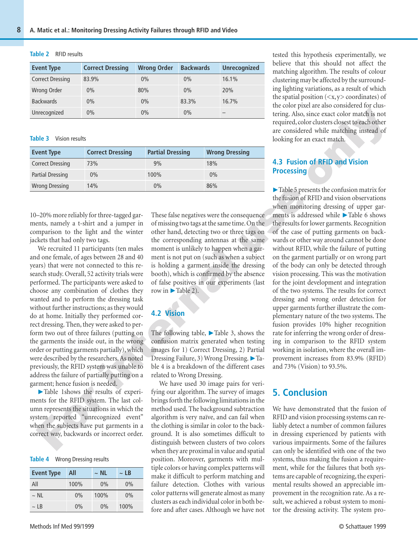| <b>Event Type</b>       | <b>Correct Dressing</b> | <b>Wrong Order</b> | <b>Backwards</b> | <b>Unrecognized</b> |
|-------------------------|-------------------------|--------------------|------------------|---------------------|
| <b>Correct Dressing</b> | 83.9%                   | 0%                 | 0%               | 16.1%               |
| Wrong Order             | 0%                      | 80%                | 0%               | 20%                 |
| <b>Backwards</b>        | 0%<br>$0\%$             |                    | 83.3%            | 16.7%               |
| Unrecognized            | 0%                      | 0%                 | 0%               |                     |

#### Table 3 Vision results

| <b>Event Type</b>       | <b>Correct Dressing</b> | <b>Partial Dressing</b> | <b>Wrong Dressing</b> |
|-------------------------|-------------------------|-------------------------|-----------------------|
| <b>Correct Dressing</b> | 73%                     | 9%                      | 18%                   |
| Partial Dressing        | $0\%$                   | 100%                    | 0%                    |
| <b>Wrong Dressing</b>   | 14%                     | 0%                      | 86%                   |

Dressing 14%<br>% more reliably for three-tagged gar-<br>namely a t-shirt and a jumper in the reliably for three-tagged gar-<br>the light and the winter<br>to the light and the winter eliably for three<br>a t-shirt and<br>the light and<br>only two tags.  $\gamma_0$ % more reliably for three-tagged gar-<br>, namely a t-shirt and a jumper in<br>arison to the light and the winter<br>s that had only two tags.<br>recruited 11 participants (ten males ments, namely a t-shirt and a jumper in 20% more reliably for three-tagged gar-<br>tis, namely a t-shirt and a jumper in<br>parison to the light and the winter<br>ets that had only two tags.<br>We recruited 11 participants (ten males<br>one female, of ages between 28 and 40 ments, namely a t-shirt and a jumper in<br>comparison to the light and the winter<br>jackets that had only two tags.<br>We recruited 11 participants (ten males<br>and one female, of ages between 28 and 40<br>vears) that were not connecte comparison to the light and the w

mer<br>nales<br>nd 40<br>is re-<br>were packets that had only two tags.<br>We recruited 11 participants (ten males<br>and one female, of ages between 28 and 40<br>years) that were not connected to this re-<br>search study. Overall, 52 activity trials were<br>performed. The par and one female, of ages between 28 and 40 recruited 11 participants (ten males<br>e female, of ages between 28 and 40<br>that were not connected to this re-<br>study. Overall, 52 activity trials were<br>med. The participants were asked to<br>any combination of clothes they and one female, of ages between 28 and 40<br>years) that were not connected to this re-<br>search study. Overall, 52 activity trials were<br>performed. The participants were asked to<br>choose any combination of clothes they<br>wanted an search study. Overall, 52 activity trials were ted to this re-<br>
ity trials were<br>
were asked to<br>
clothes they<br>
dressing task<br>
as they would performed. The participants were asked to at home. It also were<br>formed. The participants were asked to<br>oose any combination of clothes they<br>nted and to perform the dressing task<br>thout further instructions; as they would<br>at home. Initially they performed corperformed. The participants were asked to<br>choose any combination of clothes they<br>wanted and to perform the dressing task<br>without further instructions; as they would<br>do at home. Initially they performed cor-<br>rect dressing. wanted and to perform the dressing task se any combination of clothes they<br>ed and to perform the dressing task<br>but further instructions; as they would<br>chome. Initially they performed cor-<br>lressing. Then, they were asked to per-<br>two out of three failures (putting without further instructions; as they would<br>do at home. Initially they performed cor-<br>rect dressing. Then, they were asked to per-<br>form two out of three failures (putting on<br>the garments the inside out, in the wrong do at home. Initially they performed coror put further instructions; as they would<br>home. Initially they performed cor-<br>ressing. Then, they were asked to per-<br>two out of three failures (putting on<br>arments the inside out, in the wrong<br>or putting garments partially rect dressing. T t home. Initially they performed cor-<br>dressing. Then, they were asked to per-<br>two out of three failures (putting on<br>garments the inside out, in the wrong<br>r or putting garments partially), which<br>described by the researchers France, the failures (putting on<br>the inside out, in the wrong<br>g garments partially), which<br>by the researchers. As noted<br>RFID system was unable to the garments the inside out, in the wrong previously, the RFID system was unable to order or putting garments partially), which ents the inside out, in t<br>putting garments partial<br>pribed by the researchers<br>y, the RFID system was<br>he failure of partially pu<br>hence fusion is needed. Free or putting garments partially), which<br>the described by the researchers. As noted<br>wiously, the RFID system was unable to<br>dress the failure of partially putting on a<br>ment; hence fusion is needed.<br>Table 1shows the result were described by the researchers. As noted Thed by the researchers. As noted<br>7, the RFID system was unable to<br>6 failure of partially putting on a<br>hence fusion is needed.<br>19 lshows the results of experi-<br>the RFID system. The last colpreviously, the RFID system was unable to<br>address the failure of partially putting on a<br>garment; hence fusion is needed.<br><br><br>Table 1shows the results of experi-<br>ments for the RFID system. The last col-<br>umn represents the sit garment; hence fusion is needed.

**Table 4** Wrong Dressing results<br> **Table 4** Wrong Dressing results reported the failure of partially putting on a<br>t; hence fusion is needed.<br>able 1shows the results of experi-<br>for the RFID system. The last col-<br>presents the situations in which the<br>reported "unrecognized event" garment; hence fusion is needed.<br>
Iable 1shows the results of experi-<br>
ments for the RFID system. The last col-<br>
umn represents the situations in which the<br>
system reported "unrecognized event"<br>
when the subjects have put ments for the RFID system. The last column represents the situations in which the<br>system reported "unrecognized event"<br>when the subjects have put garments in a

#### **Table 4 Wrong Dressing results**

| <b>Event Type</b> | All  | $\sim$ NL | $\sim$ LB |
|-------------------|------|-----------|-----------|
| All               | 100% | $0\%$     | $0\%$     |
| $\sim$ NI         | 0%   | 100%      | $0\%$     |
| $\sim$ IB         | 0%   | $0\%$     | 100%      |

% 86%<br>nese false negatives were the consequence<br>missing two tags at the same time. On the detectives were the consequence<br>wo tags at the same time. On the<br>detecting two or three tags on ese false negatives were the consequence<br>missing two tags at the same time. On the<br>er hand, detecting two or three tags on<br>corresponding antennas at the same<br>ment is unlikely to happen when a gar- $Th<sub>000</sub>$  fol of missing two tags at the same time. On the Exalse negatives were the consequence<br>ssing two tags at the same time. On the<br>hand, detecting two or three tags on<br>orresponding antennas at the same<br>ent is unlikely to happen when a gar-<br>is not put on (such as when a subje of missing two tags at the same time. On the<br>other hand, detecting two or three tags on<br>the corresponding antennas at the same<br>moment is unlikely to happen when a gar-<br>ment is not put on (such as when a subject<br>is holding the corresponding antennas at the same and, detecting two or three tags on<br>responding antennas at the same<br>it is unlikely to happen when a gar-<br>not put on (such as when a subject<br>ing a garment inside the dressing<br>which is confirmed by the absence  $\frac{1}{2}$  mome e corresponding antennas at the same<br>oment is unlikely to happen when a gar-<br>ent is not put on (such as when a subject<br>holding a garment inside the dressing<br>ooth), which is confirmed by the absence<br>false positives in our e nt is unlike!<br>
s not put or<br>
ling a garn<br>
, which is c<br>
e positives<br>
> Table 2). **4.2 Vision**<br>**4.2 Vision** the set

#### confusion4.2 Vision  $\frac{1}{2}$  Wrong Failure, 3) Wrong Failure, 3) Write

in  $\blacktriangleright$  Table 2).<br>Vision<br>following table,  $\blacktriangleright$  Table 3, shows the **on**<br>wing table,  $\triangleright$  Table 3, shows the<br>matrix generated when testing **Show**<br>1) Example 10 Correct Drahler 3, shows the<br>1) Correct Dressing, 2) Partial<br>1) Correct Dressing, 2) Partial wing table,  $\blacktriangleright$  Table 3, shows the<br>n matrix generated when testing<br>pr 1) Correct Dressing, 2) Partial<br>Failure, 3) Wrong Dressing.  $\blacktriangleright$  Ta-<br>breakdown of the different cases  $\frac{1}{2}$ relativ Iowing table, <br>
ion matrix generate<br>
for 1) Correct Dre<br>
ig Failure, 3) Wrong<br>
i a breakdown of the<br>
to Wrong Dressing. images for 1) Correct Dressing, 2) Partial sion matrix generated when testing<br>s for 1) Correct Dressing, 2) Partial<br>ng Failure, 3) Wrong Dressing. <br>Fa-<br>s a breakdown of the different cases<br>it to Wrong Dressing.<br>have used 30 image pairs for verifigures in 1) Correct Dressing, 2) Partial<br>Dressing Failure, 3) Wrong Dressing.  $\blacktriangleright$  Ta-<br>ble 4 is a breakdown of the different cases<br>related to Wrong Dressing.<br>We have used 30 image pairs for veri-<br>fving our algorithm. Dressing Failur<br>ble 4 is e breek ble 4 is a breakdown of the different cases<br>related to Wrong Dressing.

e, 3) Wrong Dressing.<br>down of the different cases<br>g Dressing.<br>d 30 image pairs for veri-<br>ithm. The survey of images<br>following limitations in the Kdown of the different cases<br>ong Dressing.<br>sed 30 image pairs for veri-<br>prithm. The survey of images<br>ne following limitations in the<br>The background subtraction We have used 30 image pairs for veri-Wrong Dressing.<br> *i*e used 30 image pairs for veri-<br>
algorithm. The survey of images<br>
th the following limitations in the<br>
sed. The background subtraction<br>
is very naïve, and can fail when We have used 30 image pairs for veri-<br>fying our algorithm. The survey of images<br>brings forth the following limitations in the<br>method used. The background subtraction<br>algorithm is very naïve, and can fail when<br>the clothing fying our algorithm. The survey of images<br>brings forth the following limitations in the<br>method used. The background subtraction<br>algorithm is very naïve, and can fail when<br>the clothing is similar in color to the back-<br>groun method used. The background subtraction a the following limitations in the<br>d. The background subtraction<br>s very naïve, and can fail when<br>g is similar in color to the back-<br>is also sometimes difficult to<br>between clusters of two colors method used. The background subtraction<br>algorithm is very naïve, and can fail when<br>the clothing is similar in color to the back-<br>ground. It is also sometimes difficult to<br>distinguish between clusters of two colors<br>when the the clothing is similar in color to the back-In is very naïve, and can tail when<br>ing is similar in color to the back-<br>It is also sometimes difficult to<br>sh between clusters of two colors<br>y are proximal in value and spatial<br>Moreover, garments with mulground. It is also sometimes difficult to color to the back-<br>and. It is also sometimes difficult to<br>nguish between clusters of two colors<br>n they are proximal in value and spatial<br>tion. Moreover, garments with mul-<br>colors or having complex patterns will distinguish between cluster id. It is also sometimes difficult to<br>guish between clusters of two colors<br>they are proximal in value and spatial<br>on. Moreover, garments with mul-<br>colors or having complex patterns will<br>it difficult to perform matching and when they are proximal in value and spatial<br>position. Moreover, garments with mul-<br>tiple colors or having complex patterns will<br>make it difficult to perform matching and<br>failure detection. Clothes with various position. Moreover, garments with multiple colors or having complex patterns will<br>make it difficult to perform matching and<br>failure detection. Clothes with various<br>color patterns will generate almost as many position. Moreover, garments with mul-<br>tiple colors or having complex patterns will<br>make it difficult to perform matching and<br>failure detection. Clothes with various<br>color patterns will generate almost as many<br>clusters as tiple colors or having complex patterns will<br>make it difficult to perform matching and<br>failure detection. Clothes with various<br>color patterns will generate almost as many<br>clusters as each individual color in both be-<br>fore

 this hypothesis experimentally, we this hypothesis experimentally, we<br>that this should not affect the s hypothesis experimentally, we<br>
at this should not affect the<br>
algorithm. The results of colour<br>
may be affected by the surroundtested this hypothesis experimentally, we<br>believe that this should not affect the<br>matching algorithm. The results of colour<br>clustering may be affected by the surround-<br>ing lighting variations, as a result of which believe that this should not affect the specified this hypothesis experimentally, we<br>ieve that this should not affect the<br>tching algorithm. The results of colour<br>stering may be affected by the surround-<br>lighting variations, as a result of which<br>spatial position believe that this should not affect the<br>matching algorithm. The results of colour<br>clustering may be affected by the surround-<br>ing lighting variations, as a result of which<br>the spatial position ( $\langle x, y \rangle$  coordinates) of<br>t matching als<br>clustering.m gorithm. The results of colour<br>ay be affected by the surround-<br>variations, as a result of which<br>osition (<x,y> coordinates) of<br>cel are also considered for clus-<br>since exact color match is not restering may be and g may be affected by the surround-<br>ng variations, as a result of which<br>il position ( $\langle x, y \rangle$  coordinates) of<br>pixel are also considered for clus-<br>so, since exact color match is not<br>color clusters closest to each other s, as a result of which<br>Sx, y > coordinates) of<br>the considered for clus-<br>to color match is not<br>s closest to each other<br>matching instead of the spatial position (<x,y><br>the color pixel are also cons<br>tering. Also, since exact colo<br>required, color clusters close<br>are considered while matcl<br>looking for an exact match. are considered while matching inst<br>looking for an exact match.<br>**4.3 Fusion of RFID and Vision** looking for an exact match.

## Processing **CO 4.3 Fusion of RFID and Vision<br>Processing<br>Departs the confusion matrix for Albert 5 presents the confusion matrix for 4.3 Fusion of RFID and Vision Fusion of RFID and Vision<br>
Seessing**<br>
Fusion 5 presents the confusion matrix for<br>
fusion of RFID and vision observations

essing<br>le 5 presents the confusion matrix for<br>sion of RFID and vision observations<br>monitoring dressing of upper garfusion matrix for<br>sion observations<br>ng of upper gar<br>►Table 6 shows  $\blacktriangleright$  Table 5 presents the confusion matrix for<br>the fusion of RFID and vision observations<br>when monitoring dressing of upper gar-<br>ments is addressed while  $\blacktriangleright$  Table 6 shows<br>the results for lower garments. Recognitio ▶ Table 5 presents the contusion matrix for<br>the fusion of RFID and vision observations<br>when monitoring dressing of upper gar-<br>ments is addressed while ▶ Table 6 shows<br>the results for lower garments. Recognition<br>of the ca when monitoring d sion of RFID and vision observations<br>monitoring dressing of upper gar-<br>is addressed while  $\blacktriangleright$  Table 6 shows<br>sults for lower garments. Recognition<br>case of putting garments on back-<br>or other way around cannot be done ressing of upper gar-<br>while  $\blacktriangleright$  Table 6 shows<br>garments. Recognition<br>ig garments on back-<br>round cannot be done<br>the failure of putting ments is addressed while Table 6 shows<br>the results for lower garments. Recognition Ints is addressed while lable 6 shows<br>In the case of putting garments. Recognition<br>the case of putting garments on back-<br>rds or other way around cannot be done<br>thout RFID, while the failure of putting<br>the garment partially the results tor lower garments. Recognition<br>of the case of putting garments on back-<br>wards or other way around cannot be done<br>without RFID, while the failure of putting<br>on the garment partially or on wrong part<br>of the body of the case of pu or the case of patting garments on suck<br>wards or other way around cannot be done<br>without RFID, while the failure of putting<br>on the garment partially or on wrong part<br>of the body can only be detected through<br>vision processi without RFID, while the failure of putting<br>on the garment partially or on wrong part<br>of the body can only be detected through<br>vision processing. This was the motivation<br>for the joint development and integration<br>of the two on the garment partially or on wrong part<br>of the body can only be detected through<br>vision processing. This was the motivation<br>for the joint development and integration<br>of the two systems. The results for correct<br>dressing a of the body can only be detected the<br>vision processing. This was the motiv or the boay can omy be detected drought<br>vision processing. This was the motivation<br>for the joint development and integration<br>of the two systems. The results for correct<br>dressing and wrong order detection for<br>upper garments as the motivation<br>t and integration<br>results for correct<br>ler detection for<br>llustrate the com-<br>two systems. The for the joint development and integration<br>of the two systems. The results for correct provide the systems. The results for correct<br>ty and wrong order detection for<br>garments further illustrate the com-<br>ntary nature of the two systems. The<br>provides 10% higher recognition dressing and wrong order detection for for two systems. The results for correct<br>sing and wrong order detection for<br>er garments further illustrate the com-<br>nentary nature of the two systems. The<br>on provides 10% higher recognition<br>for inferring the wrong order of dressing and wron<br>upper germents furi ther illustrate the com-<br>f the two systems. The<br>% higher recognition<br>exproped to the RFID system<br>to the RFID system<br>where the overall imupper garments further illu<br>plementary nature of the ty plementary nature of the two systems. The<br>fusion provides 10% higher recognition<br>rate for inferring the wrong order of dress-<br>ing in comparison to the RFID system<br>working in isolation, where the overall im-<br>provement incre fusion provides 10% high<br>rate for inferring the wrong<br>ing in comparison to the<br>working in isolation, where<br>provement increases from<br>and 73% (Vision) to 93.5%. working in isolation, where the overall im-<br>provement increases from 83.9% (RFID) working in isolation, where the overall im-<br>provement increases from 83.9% (RFID)<br>and 73% (Vision) to 93.5%.<br>**5. Conclusion** and 73% (Vision) to 93.5%.

## **1999 (Tatal) to sell formulation**<br> **5. Conclusion**<br>
We have demonstrated that the fusion of in

**onclusion**<br>ave demonstrated that the fusion of<br>and vision processing systems can restand that the processing opposition where<br>liably detect a number of common failures **Conclusion**<br>
Experiment is a few demonstrated that the fusion of<br>
FID and vision processing systems can re-<br>
bly detect a number of common failures<br>
dressing experienced by patients with imponent that the fusion of<br>the division processing systems can re-<br>etect a number of common failures<br>sing experienced by patients with<br>imponents. Some of the failures We have demonstrated that the fusion of<br>RFID and vision processing systems can re-<br>liably detect a number of common failures<br>in dressing experienced by patients with<br>various impairments. Some of the failures<br>can only be id d vision processing systems can re-<br>tect a number of common failures<br>ing experienced by patients with<br>impairments. Some of the failures<br>v be identified with one of the two<br>thus making the fusion a requirea number of common failures<br>experienced by patients with<br>airments. Some of the failures<br>identified with one of the two<br>s making the fusion a require-<br>for the failures that both sysin dressing experienced by patients with<br>various impairments. Some of the failures ressing experienced by patients with<br>hus impairments. Some of the failures<br>only be identified with one of the two<br>ms, thus making the fusion a require-<br>t, while for the failures that both sys-<br>are capable of recognizing, t various impairments. Some of the tailures<br>can only be identified with one of the two<br>systems, thus making the fusion a require-<br>ment, while for the failures that both sys-<br>tems are capable of recognizing, the experi-<br>menta can only be ident<br>existence thus mall systems, thus making the fusion a requirement, while for the failures that both systems are capable of recognizing, the experimental results showed an appreciable improvement in the recognition rate. As a resystem, the form of the failures that both systems are capable of recognizing, the experimental results showed an appreciable improvement in the recognition rate. As a result, we achieved a robust system to monisult, we achieved a robust system to monitor the dressing activity. The system pro-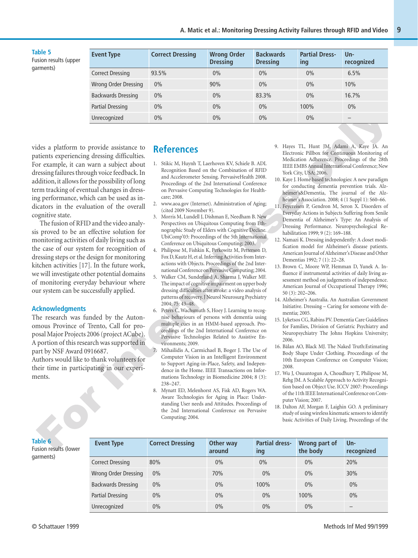| Table 5<br>Fusion results (upper |
|----------------------------------|
| garments)                        |

| Fusion results (upper                                                                        | <b>Event Type</b>       | <b>Correct Dressing</b> | <b>Wrong Order</b><br><b>Dressing</b> | <b>Backwards</b><br><b>Dressing</b> | <b>Partial Dress-</b><br>ing | $Un -$<br>recognized |
|----------------------------------------------------------------------------------------------|-------------------------|-------------------------|---------------------------------------|-------------------------------------|------------------------------|----------------------|
|                                                                                              | <b>Correct Dressing</b> | 93.5%                   | $0\%$                                 | 0%                                  | $0\%$                        | 6.5%                 |
| Wrong Order Dressing<br><b>Backwards Dressing</b><br><b>Partial Dressing</b><br>Unrecognized | $0\%$                   | 90%                     | 0%                                    | $0\%$                               | 10%                          |                      |
|                                                                                              | $0\%$                   | $0\%$                   | 83.3%                                 | $0\%$                               | 16.7%                        |                      |
|                                                                                              | 0%                      | $0\%$                   | 0%                                    | 100%                                | $0\%$                        |                      |
|                                                                                              |                         | $0\%$                   | $0\%$                                 | 0%                                  | $0\%$                        | $\qquad \qquad$      |

patients experiencing dressing difficulties. provide assistance to<br>g dressing difficulties.<br>warn a subiect about platform to provide assistance to<br>experiencing dressing difficulties.<br>nple, it can warn a subject about<br>failures through voice feedback. In vides a platform to provide assistance to<br>patients experiencing dressing difficulties.<br>For example, it can warn a subject about<br>dressing failures through voice feedback. In<br>addition, it allows for the possibility of long The variable constraint composition is experiencing dressing difficulties.<br>
Example, it can warn a subject about<br>
ing failures through voice feedback. In<br>
ion, it allows for the possibility of long<br>
tracking of eventual ch For example, it can warn a subject about<br>dressing failures through voice feedback. In For example, it can want a stagleer about<br>dressing failures through voice feedback. In<br>addition, it allows for the possibility of long<br>term tracking of eventual changes in dress-<br>ing performance, which can be used as in-<br>d cognitive state. Intion, it allows for the possibility of long<br>m tracking of eventual changes in dress-<br>performance, which can be used as in-<br>ators in the evaluation of the overall<br>gnitive state.<br>The fusion of RFID and the video analy-Figure 1 and the evaluation of the overall<br>ing performance, which can be used as in-<br>dicators in the evaluation of the overall<br>cognitive state.<br>The fusion of RFID and the video analy-<br>sis proved to be an effective solution

may performance, which can be doed as in<br>dicators in the evaluation of the overall<br>cognitive state.<br>The fusion of RFID and the video analy-<br>sis proved to be an effective solution for<br>monitoring activities of daily living s ators in the evaluation of the overall<br>initive state.<br>The fusion of RFID and the video analy-<br>proved to be an effective solution for<br>initoring activities of daily living such as<br>case of our system for recognition of The fusion of RFID and the video analye state.<br>
usion of RFID and the video analy-<br>
ed to be an effective solution for<br>
ing activities of daily living such as<br>
of our system for recognition of<br>
steps or the design for monitoring sis proved to be an effective solution for Fre faised of ratio and the video analy<br>proved to be an effective solution for<br>pinitoring activities of daily living such as<br>e case of our system for recognition of<br>sesing steps or the design for monitoring<br>chen activities  $rac{10}{2}$ monitoring activities of all priving start<br>the case of our system for recognition of<br>dressing steps or the design for monitoring<br>kitchen activities [17]. In the future work,<br>we will investigate other potential domains<br>of m the case of our system for recognition<br>dressing steps or the design for monitor<br>kitchen activities [17]. In the future ww<br>we will investigate other potential domin<br>of monitoring everyday behaviour wl<br>our system can be succ We will investigate other potential domains<br>of monitoring everyday behaviour where<br>our system can be successfully applied.<br>**Acknowledgments**<br>The research was funded by the Autonour system can be success

### **Acknowledgments** Acknowled<br>The resears

Informg everyday behaviour where<br>tem can be successfully applied.<br>**Wedgments**<br>search was funded by the Auton-<br>Province of Trento. Call for pro-(uny appnea.<br>d by the Auton-<br>to, Call for pro-<br>(project ACube). **Example 15**<br>
rch was funded by the Auton-<br>
responsive of Trento, Call for pro-<br>
or Projects 2006 (project ACube).<br>
of this research was supported in **gments**<br>h was funded b<br>zince of Trento,<br>Projects 2006 (pr<br>this research was<br>Award 0916687. omous Province of Trento, Call for proearch was funded by the Auton-<br>Province of Trento, Call for pro-<br>ajor Projects 2006 (project ACube).<br>In of this research was supported in<br>NSF Award 0916687.<br>would like to thank volunteers for posal Major Projects 2006 (project ACube).  $h_{\text{next}}$ 

part by NSF Award 0916687.<br>Authors would like to thank volunteers for<br>their time in participating in our experiments.

#### and Accelerometers Sensing. Persons and 2008. Proceedings of the

- **Statistic M, Huynh T, Laerhoven KV, Schiele B, ADL**<br>Stikic M, Huynh T, Laerhoven KV, Schiele B, ADL ven KV, Schiele B. ADL<br>Combination of RFID and Accelerometer Sensing, PervasiveHealth 2008. Laerhoven KV, Schiele B. ADL<br>on the Combination of RFID<br>Sensing. PervasiveHealth 2008.<br>2nd International Conference  $\mathbf{c}_{\mathbf{f}}$ kic M, Huynh T, Laerhoven KV, Schiele B. ADL<br>cognition Based on the Combination of RFID<br>d Accelerometer Sensing. PervasiveHealth 2008.<br>oceedings of the 2nd International Conference<br>Pervasive Computing Technologies for Heal Recognitio<br>and Accele<br>Proceeding<br>on Pervasi<br>care: 2008. and Accelerometer Sensing. PervasiveHealth 2008.<br>Proceedings of the 2nd International Conference<br>on Pervasive Computing Technologies for Health-<br>care; 2008.<br>www.aoa.gov (Internet). Administration of Aging: Proceedings of the 2nd International Conference Proceedings of the 2nd International Conference<br>on Pervasive Computing Technologies for Health-<br>care; 2008.<br>www.aoa.gov (Internet). Administration of Aging;<br>(cited 2009 November 9).<br>Morris M. Lundell I. Dishman E. Needham on Pervasive Computing Technologies i<br>care: 2008 care; 2008.<br>2. www.aoa.gov (Internet). Administration of Aging;
- $(cited 2009 November 9)$ .
- From Exercise<br>
Style (Internet). Administration of Aging;<br>
Discomber 9).<br>
Eundell J, Dishman E, Needham B. New<br>
Study of Elders with Cognitive Decline. (internet). Administration or Aging;<br>ovember 9).<br>Indell J, Dishman E, Needham B. New<br>International Computing from Eth-<br>idy of Elders with Cognitive Decline.<br>Proceedings of the 5th International (cited 2009 November 9).<br>Morris M. Lundell I. Dishman E. Needham B. Conference on Ubiquitous Computing; 2003. Morris M, Lundell J, Dishman E, Neednam B. New<br>Perspectives on Ubiquitous Computing from Eth-<br>nographic Study of Elders with Cognitive Decline.<br>UbiComp'03: Proceedings of the 5th International<br>Conference on Ubiquitous Comp Perspectives on Ubiquitous Computing from Ethnographic Study of Elders with Cognitive Decline. nographic Study of Elders with Cognitive Decline.<br>UbiComp'03: Proceedings of the 5th International<br>Conference on Ubiquitous Computing; 2003.<br>Philipose M, Fishkin K, Perkowitz M, Petterson D,<br>Fox D, Kautz H, et al. Inferrin
- eaings or the 5th International<br>uitous Computing; 2003.<br>I K, Perkowitz M, Petterson D,<br>Inferring Activities from Inter-<br>I. Proceedings of the 2nd Inter-<br>on Pervasive Computing: 2004. 5.Conference on Ubiquitous Computing; 2003.<br>
Philipose M, Fishkin K, Perkowitz M, Petterson D,<br>
Fox D, Kautz H, et al. Inferring Activities from Inter-<br>
actions with Objects. Proceedings of the 2nd Inter-<br>
national Conferenc Philipose M, Fishkin K, Perkowitz M, Petterson D,<br>Fox D, Kautz H, et al. Inferring Activities from Inter-<br>actions with Objects. Proceedings of the 2nd Inter-<br>national Conference on Pervasive Computing; 2004.<br>Walker CM, Sun actions with Objects. Proceedings of the 2nd International Conference on Pervasive Computing; 2004.
- autz H, et al. Inferring Activities from Inter-<br>vith Objects. Proceedings of the 2nd Inter-<br>Conference on Pervasive Computing; 2004.<br>CM, Sunderland A, Sharma J, Walker MF.<br>act of Cognitive impairment on upper body<br>difficul with Objects. Proceedings of the 2nd Inter-<br>Conference on Pervasive Computing; 2004.<br>CM, Sunderland A, Sharma J, Walker MF.<br>act of cognitive impairment on upper body<br>difficulties after stroke: a video analysis of<br>of recove Walker CM, Sur<br>The impact of co<br>dressing difficult<br>patterns of recov<br>2004: 75: 43–48. 5. Walker CM, Sunderland A, Sharma J, Walker MF.<br>The impact of cognitive impairment on upper body<br>dressing difficulties after stroke: a video analysis of<br>patterns of recovery. J Neurol Neurosurg Psychiatry<br>2004; 75: 43–48. dressing difficulties after stroke: a video analysis of impact of cognitive impairment on upper boay<br>sing difficulties after stroke: a video analysis of<br>erns of recovery. J Neurol Neurosurg Psychiatry<br>4; 75: 43–48.<br>rs C, Wachsmuth S, Hoey J. Learning to recog-<br>behaviours of per ں<br>notterns  $2004:75:43-48.$
- difficulties after stroke: a video analysis of<br>of recovery. J Neurol Neurosurg Psychiatry<br>43–48.<br>Wachsmuth S, Hoey J. Learning to recog-<br>aviours of persons with dementia using<br>cues in an HMM-based approach. Proery, J Neurol Neurosurg Psychiatry<br>
muth S, Hoey J. Learning to recog-<br>
of persons with dementia using<br>
n an HMM-based approach. Pro-<br>
2nd International Conference on Peters C, Wachsmuth S, Hoev J. Learning to recog-43–48.<br>Wachsmuth S, Hoey J. Learning to recog-<br>cues in an HMM-based approach. Pro-<br>cues in an HMM-based approach. Pro-<br>of the 2nd International Conference on<br>Technologies Related to Assistive Ennise behaviours of<br>multiple cues in a<br>ceedings of the 21<br>Pervasive Technol<br>vironments: 2009. 7.mise benaviours or persons with dementia using<br>multiple cues in an HMM-based approach. Pro-<br>ceedings of the 2nd International Conference on<br>Pervasive Technologies Related to Assistive En-<br>vironments; 2009.<br>Wihailidis A. Ca multiple cues in an HMM-based approach. Proceedings of the 2nd International Conference on vironments; 2009.
- eeedings of the 2nd International Conference on<br>Pervasive Technologies Related to Assistive En-<br>vironments; 2009.<br>Mihailidis A, Carmichael B, Boger J. The Use of<br>Computer Vision in an Intelligent Environment<br>to Support Agi ive Technologies Related to Assistive En-<br>nents; 2009.<br>lidis A, Carmichael B, Boger J. The Use of<br>nuter Vision in an Intelligent Environment<br>poport Aging-in-Place, Safety, and Indepen-<br>in the Home. IEEE Transactions on Inf Mihailidis A, Carmichael B, Boger J. The Use of nts; 2009.<br>lis A, Carmichael B, Boger J. The Use of<br>per Vision in an Intelligent Environment<br>the Home. IEEE Transactions on Infor-<br>the Home. IEEE Transactions on Infor-<br>Technology in Biomedicine 2004: 8 (3): 1нинин<br>Самооди to Support Aging-in-Place, Safety, and Independence in the Home. IEEE Transactions on Inforace, sarety, and Indepen-<br>E Transactions on Infor-<br>Biomedicine 2004; 8 (3):<br>AS, Fisk AD, Rogers WA.<br>Aeing in Place: Underdence in the Home. LEEE Transactions on Infor-<br>mations Technology in Biomedicine 2004; 8 (3):<br>238–247.<br>Mynatt ED, Melenhorst AS, Fisk AD, Rogers WA.<br>Aware Technologies for Aging in Place: Under-<br>standing User needs and Att 238-247
- tions iecnnology in biometicine 2004; 8 (5):<br>-247.<br>natt ED, Melenhorst AS, Fisk AD, Rogers WA.<br>are Technologies for Aging in Place: Under-<br>ading User needs and Attitudes. Proceedings of<br>2nd International Conference on Perv  $M<sub>unatt</sub>$  ED Aware Technologies for Aging in Place: Understanding User needs and Attitudes. Proceedings of the 2nd International Conference on Pervasive Computing; 2004.
- Pillbox for Continuous Monitoring of Adami A, Kaye JA. An<br>Continuous Monitoring of<br>Proceedings of the 28th EMBS TL, Hunt JM, Adami A, Kaye JA. Annual Conference: Proceedings of the 28th CMBS Annual International Conference: New Hayes TL, Hunt JM<br>Electronic Pillbox for<br>Medication Adherenc<br>IEEE EMBS Annual Ir<br>York Citv, USA: 2006. Frayes TL, Flunt JM, Adami A, Kaye JA. An<br>Electronic Pillbox for Continuous Monitoring of<br>Medication Adherence. Proceedings of the 28th<br>IEEE EMBS Annual International Conference; New<br>Vork City, USA; 2006.<br>Kaye I. Home base Electronic Pillbox for Continuous Monitoring of<br>Medication Adherence. Proceedings of the 28th dication Adherence. Proceedings of the 28th<br>EE EMBS Annual International Conference; New<br>k City, USA; 2006.<br>ye J. Home based technologies: A new paradigm<br>conducting dementia prevention trials. Alz-**HEER EMRS Annual I** York City, USA; 2006.
- ice. Proceedings of the 28th<br>nternational Conference; New<br>is.<br>i. The inversion trials. Alz-<br>The iournal of the Alzrternational Conference; New<br>
echnologies: A new paradign<br>
entia prevention trials. Alz<br>
The journal of the Alz<br>
2008: 4 (1 Suppl 1): S60–66. 10. Kaye J. Home based technologies: A new paradigm Fork City, USA; 2006.<br>
Kaye J. Home based technologies: A new paradigm<br>
for conducting dementia prevention trials. Alz-<br>
heimer's&Dementia, The journal of the Alz-<br>
heimer's Association. 2008; 4 (1 Suppl 1): S60–66.<br>
Fever  $\frac{1}{\sqrt{2}}$ ome based technologies: A new paradigm<br>ucting dementia prevention trials. Alz-<br>kDementia, The journal of the Alz-<br>Association. 2008; 4 (1 Suppl 1): S60-66.<br>n P, Gendron M, Seron X. Disorders of<br>Actions in Subiects Sufferin heimer's&Dementia, The journal of the Alz-
- cting dementia prevention trials. Alz-<br>Dementia, The journal of the Alz-<br>ssociation. 2008; 4 (1 Suppl 1): S60–66.<br>1 P, Gendron M, Seron X. Disorders of<br>Actions in Subjects Suffering from Senile<br>of Alzheimer's Type: An Anal nemer secDementia, The Journal of the Aiz-<br>heimer's Association. 2008; 4 (1 Suppl 1): S60–66.<br>Feyergday Actions in Subjects Suffering from Senile<br>Dementia of Alzheimer's Type: An Analysis of<br>Drementia of Alzheimer's Type: heimer s Association. 2008; 4 (1 S<br>Feyereisen P, Gendron M, Seron<br>Everyday Actions in Subjects Suff<br>Dementia of Alzheimer's Type:<br>Dressing Performance. Neurop<br>habilitation 1999: 9 (2): 169–188. Everyday Actions in Subjects Suffering from Senile Everyday Actions in Subjects Suffering from Seniie<br>Dementia of Alzheimer's Type: An Analysis of<br>Dressing Performance. Neuropsychological Re-<br>habilitation 1999; 9 (2): 169–188.<br>Namazi K. Dressing independently: A closet mod Dressing Performance. Neuropsychological Rehabilitation 1999; 9 (2): 169-188.
- or Alzheimer's Type: An Analysis of<br>Performance. Neuropsychological Re-<br>n 1999; 9 (2): 169–188.<br>Dressing independently: A closet modi-<br>nodel for Alzheimer's disease patients.<br>Journal of Alzheimer's Disease and Other Performance. Neurol<br>1999; 9 (2): 169–1<br>Dressing independ<br>odel for Alzheime<br>ournal of Alzheime<br>1992: 7 (1): 22–28. 12. Namazi K. Dressing independently: A closet modihabultation 1999; 9 (2): 169–188.<br>
Namazi K. Dressing independently: A closet modification model for Alzheimer's disease patients.<br>
American Journal of Alzheimer's Disease and Other<br>
Dementias 1992; 7 (1): 22–28.<br>
Brown C. Namazi K. Dressing independently: A closet modi-<br>fication model for Alzheimer's disease patients.<br>American Journal of Alzheimer's Disease and Other<br>Dementias 1992; 7 (1): 22–28.<br>Brown C, Moore WP, Hemnan D, Yunek A. In-<br>fl American Journal of Alzheimer's Disease and Other Dementias 1992; 7 (1): 22-28.
- method of Alzheimer's Disease and Other<br>
as 1992; 7 (1): 22–28.<br>
,, Moore WP, Hemman D, Yunek A. Infinistrumental activities of daily living as-<br>
method on judgements of independence.<br>
1 Iournal of Occupational Therapy 199 13. Brown C, Moore WP, Hemman D, Yunek A. Inmentias 1992<br>
own C, Moor<br>
ence if instru:<br>
ssment metho<br>
merican Journ<br>
(3): 202–206. Brown C, Moore WP, Hemman D, Tunek A. In-<br>fluence if instrumental activities of daily living as-<br>sessment method on judgements of independence.<br>American Journal of Occupational Therapy 1996;<br>50 (3): 202–206.<br>Alzheimer's Au Tuence if instrumental activities of daily living assessment method on judgements of independence.<br>American Journal of Occupational Therapy 1996;<br>50 (3): 202–206.<br>Alzheimer's Australia. An Australian Government<br>Initiative. American Journal of Occupational Therapy 1996;
- American Journal of Occupational Therapy 1996;<br>50 (3): 202–206.<br>Alzheimer's Australia. An Australian Government<br>Initiative. Dressing Caring for someone with de-<br>mentia; 2005.<br>Ixketsos CG, Rabins PV. Dementia Care Guideli 50 (3): 202–206.<br>Alzheimer's Australia, An Australi an Government<br>meone with de-<br>Care Guidelines<br>Psychiatry and Initiative. Dressing - Caring for someone with dementia: 2005
- An Australian Government<br>Caring for someone with de-<br>V. Dementia Care Guidelines<br>of Geriatric Psychiatry and<br>Johns Hopkins University: mentia; 2005.<br>15. Lyketsos CG, Rabins PV. Dementia Care Guidelines<br>for Families, Division of Geriatric Psychiatry and<br>Neuropsychiatry The Johns Hopkins University;<br>2006.<br>16. Bālan AO, Black MJ. The Naked Truth:Estimating for Families, Division of Geriatric Psychiatry and sos CG, Kabins PV. Dementia Care Guidelines<br>amilies, Division of Geriatric Psychiatry and<br>opsychiatry The Johns Hopkins University;<br>AO, Black MJ. The Naked Truth:Estimating<br>Shane Under Clothing. Proceedings of the 2008.
- for Families, Division of Geriatric Psychiatry and<br>2006.<br>Balan AO, Black MJ. The Naked Truth:Estimating<br>Badan AO, Black MJ. The Naked Truth:Estimating<br>Body Shape Under Clothing. Proceedings of the<br>10th European Conference 2006.<br>16. Bālan AO, Black MJ. The Naked Truth:Estimating<br>10th European Conference on Computer Vision;<br>2008.<br>17. Wu I, Osuuntogun A, Choudhury T, Philipose M. Body Shape Under Clothing. Proceedings of the AO, Black MJ. The Naked Truth:Estimating<br>Shape Under Clothing. Proceedings of the<br>European Conference on Computer Vision;<br>,<br>Osuuntogun A, Choudhury T, Philipose M,<br>IM. A Scalable Approach to Activity Recogni-10th European Conference on Computer Vision; 2008.
- y Snape Under Clothing. Proceedings of the<br>European Conference on Computer Vision;<br>J., Osuuntogun A, Choudhury T, Philipose M,<br>g JM. A Scalable Approach to Activity Recogni-<br>based on Obiect Use. ICCV 2007: Proceedings th European Conterence on Computer Vision;<br>08.<br>10 J, Osuuntogun A, Choudhury T, Philipose M,<br>hlg JM. A Scalable Approach to Activity Recogni-<br>on based on Object Use. ICCV 2007: Proceedings<br>the 11th IEEE International Confe 2008.<br>
17. Wu J, Osuuntogun<br>
Rehg JM. A Scalabl<br>
tion based on Obje<br>
of the 11th IEEE Int<br>
puter Vision: 2007. Suuntogun A, Choudhury 1, Philipose M,<br>M. A Scalable Approach to Activity Recogni-<br>sed on Object Use. ICCV 2007: Proceedings<br>1th IEEE International Conference on Com-<br>ision; 2007.<br>AF. Morgan F. Laighin GO. A preliminary keng JM. A Scalable Approach to Activity Recognition<br>based on Object Use. ICCV 2007: Proceedings<br>of the 11th IEEE International Conference on Com-<br>puter Vision; 2007.<br>Dalton AF, Morgan F, Laighin GO. A preliminary<br>study of of the 11th IEEE International Conference on Com-
- **theUn-***<u>recognize</u>* puter Vision; 2007.<br>18. Dalton AF, Morgan F, Laighin GO. A preliminary<br>study of using wireless kinematic sensors to identify

| Table 6               |
|-----------------------|
| Fusion results (lower |
| garments)             |

**Table** 

|        |                           | Computing; 2004.        |                     | study of using witchess Kinchlathe schools to fucility<br>basic Activities of Daily Living. Proceedings of the |                           |                      |
|--------|---------------------------|-------------------------|---------------------|----------------------------------------------------------------------------------------------------------------|---------------------------|----------------------|
| (lower | <b>Event Type</b>         | <b>Correct Dressing</b> | Other way<br>around | <b>Partial dress-</b><br>ing                                                                                   | Wrong part of<br>the body | $Un -$<br>recognized |
|        | <b>Correct Dressing</b>   | 80%                     | $0\%$               | $0\%$                                                                                                          | $0\%$                     | 20%                  |
|        | Wrong Order Dressing      | $0\%$                   | 70%                 | 0%                                                                                                             | $0\%$                     | 30%                  |
|        | <b>Backwards Dressing</b> | $0\%$                   | $0\%$               | 100%                                                                                                           | $0\%$                     | 0%                   |
|        | <b>Partial Dressing</b>   | $0\%$                   | $0\%$               | 0%                                                                                                             | 100%                      | $0\%$                |
|        | Unrecognized              | $0\%$                   | $0\%$               | 0%                                                                                                             | $0\%$                     |                      |